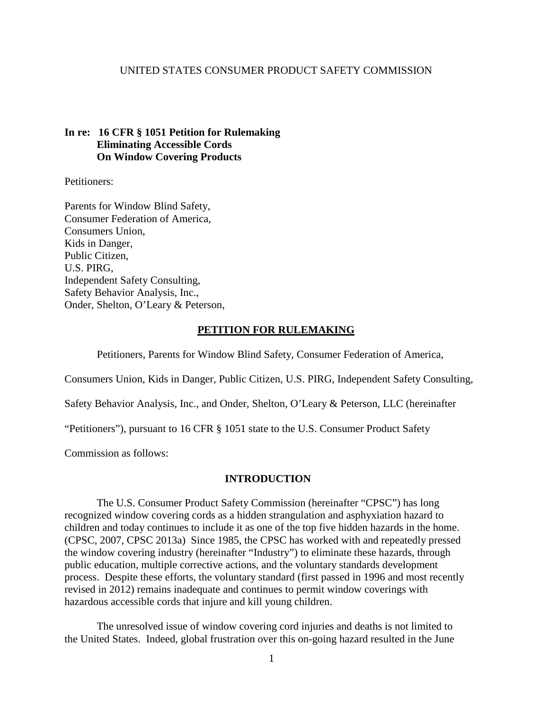## UNITED STATES CONSUMER PRODUCT SAFETY COMMISSION

## **In re: 16 CFR § 1051 Petition for Rulemaking Eliminating Accessible Cords On Window Covering Products**

Petitioners:

Parents for Window Blind Safety, Consumer Federation of America, Consumers Union, Kids in Danger, Public Citizen, U.S. PIRG, Independent Safety Consulting, Safety Behavior Analysis, Inc., Onder, Shelton, O'Leary & Peterson,

#### **PETITION FOR RULEMAKING**

Petitioners, Parents for Window Blind Safety, Consumer Federation of America,

Consumers Union, Kids in Danger, Public Citizen, U.S. PIRG, Independent Safety Consulting,

Safety Behavior Analysis, Inc., and Onder, Shelton, O'Leary & Peterson, LLC (hereinafter

"Petitioners"), pursuant to 16 CFR § 1051 state to the U.S. Consumer Product Safety

Commission as follows:

## **INTRODUCTION**

The U.S. Consumer Product Safety Commission (hereinafter "CPSC") has long recognized window covering cords as a hidden strangulation and asphyxiation hazard to children and today continues to include it as one of the top five hidden hazards in the home. (CPSC, 2007, CPSC 2013a) Since 1985, the CPSC has worked with and repeatedly pressed the window covering industry (hereinafter "Industry") to eliminate these hazards, through public education, multiple corrective actions, and the voluntary standards development process. Despite these efforts, the voluntary standard (first passed in 1996 and most recently revised in 2012) remains inadequate and continues to permit window coverings with hazardous accessible cords that injure and kill young children.

The unresolved issue of window covering cord injuries and deaths is not limited to the United States. Indeed, global frustration over this on-going hazard resulted in the June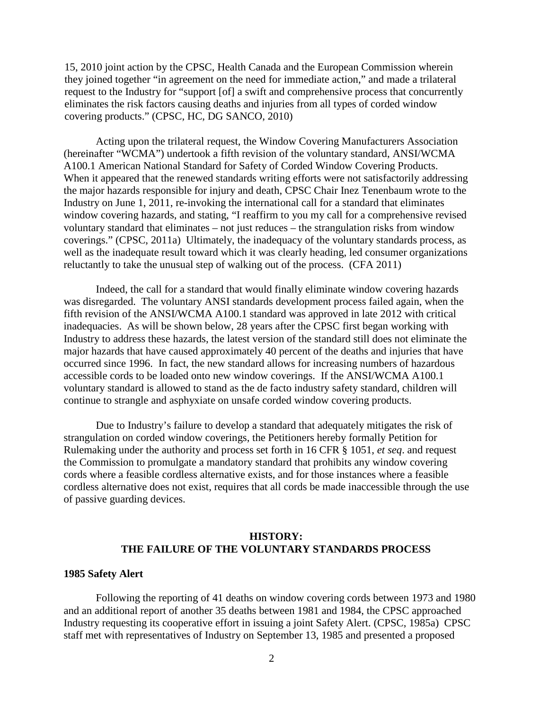15, 2010 joint action by the CPSC, Health Canada and the European Commission wherein they joined together "in agreement on the need for immediate action," and made a trilateral request to the Industry for "support [of] a swift and comprehensive process that concurrently eliminates the risk factors causing deaths and injuries from all types of corded window covering products." (CPSC, HC, DG SANCO, 2010)

Acting upon the trilateral request, the Window Covering Manufacturers Association (hereinafter "WCMA") undertook a fifth revision of the voluntary standard, ANSI/WCMA A100.1 American National Standard for Safety of Corded Window Covering Products. When it appeared that the renewed standards writing efforts were not satisfactorily addressing the major hazards responsible for injury and death, CPSC Chair Inez Tenenbaum wrote to the Industry on June 1, 2011, re-invoking the international call for a standard that eliminates window covering hazards, and stating, "I reaffirm to you my call for a comprehensive revised voluntary standard that eliminates – not just reduces – the strangulation risks from window coverings." (CPSC, 2011a) Ultimately, the inadequacy of the voluntary standards process, as well as the inadequate result toward which it was clearly heading, led consumer organizations reluctantly to take the unusual step of walking out of the process. (CFA 2011)

Indeed, the call for a standard that would finally eliminate window covering hazards was disregarded. The voluntary ANSI standards development process failed again, when the fifth revision of the ANSI/WCMA A100.1 standard was approved in late 2012 with critical inadequacies. As will be shown below, 28 years after the CPSC first began working with Industry to address these hazards, the latest version of the standard still does not eliminate the major hazards that have caused approximately 40 percent of the deaths and injuries that have occurred since 1996. In fact, the new standard allows for increasing numbers of hazardous accessible cords to be loaded onto new window coverings. If the ANSI/WCMA A100.1 voluntary standard is allowed to stand as the de facto industry safety standard, children will continue to strangle and asphyxiate on unsafe corded window covering products.

Due to Industry's failure to develop a standard that adequately mitigates the risk of strangulation on corded window coverings, the Petitioners hereby formally Petition for Rulemaking under the authority and process set forth in 16 CFR § 1051, *et seq*. and request the Commission to promulgate a mandatory standard that prohibits any window covering cords where a feasible cordless alternative exists, and for those instances where a feasible cordless alternative does not exist, requires that all cords be made inaccessible through the use of passive guarding devices.

## **HISTORY: THE FAILURE OF THE VOLUNTARY STANDARDS PROCESS**

#### **1985 Safety Alert**

Following the reporting of 41 deaths on window covering cords between 1973 and 1980 and an additional report of another 35 deaths between 1981 and 1984, the CPSC approached Industry requesting its cooperative effort in issuing a joint Safety Alert. (CPSC, 1985a) CPSC staff met with representatives of Industry on September 13, 1985 and presented a proposed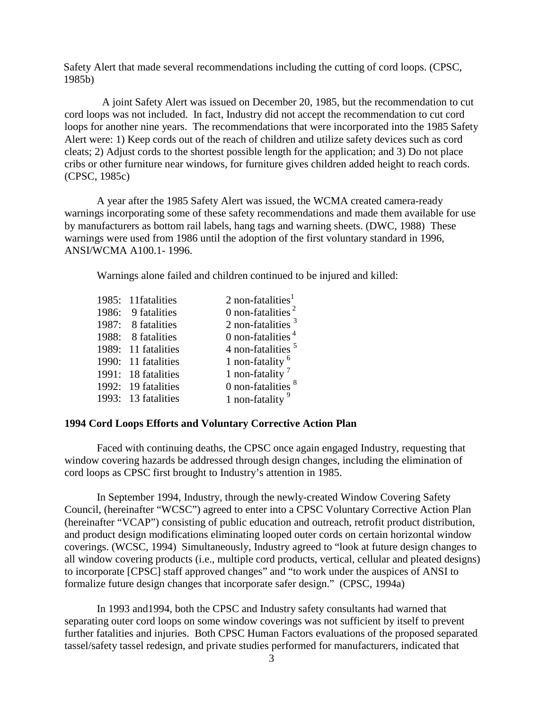Safety Alert that made several recommendations including the cutting of cord loops. (CPSC, 1985b)

A joint Safety Alert was issued on December 20, 1985, but the recommendation to cut cord loops was not included. In fact, Industry did not accept the recommendation to cut cord loops for another nine years. The recommendations that were incorporated into the 1985 Safety Alert were: 1) Keep cords out of the reach of children and utilize safety devices such as cord cleats; 2) Adjust cords to the shortest possible length for the application; and 3) Do not place cribs or other furniture near windows, for furniture gives children added height to reach cords. (CPSC, 1985c)

A year after the 1985 Safety Alert was issued, the WCMA created camera-ready warnings incorporating some of these safety recommendations and made them available for use by manufacturers as bottom rail labels, hang tags and warning sheets. (DWC, 1988) These warnings were used from 1986 until the adoption of the first voluntary standard in 1996, ANSI/WCMA A100.1- 1996.

Warnings alone failed and children continued to be injured and killed:

| 1985: 11 fatalities | 2 non-fatalities $1$          |
|---------------------|-------------------------------|
| 1986: 9 fatalities  | 0 non-fatalities $2$          |
| 1987: 8 fatalities  | 2 non-fatalities $3$          |
| 1988: 8 fatalities  | 0 non-fatalities $4$          |
| 1989: 11 fatalities | 4 non-fatalities <sup>5</sup> |
| 1990: 11 fatalities | 1 non-fatality <sup>6</sup>   |
| 1991: 18 fatalities | 1 non-fatality <sup>7</sup>   |
| 1992: 19 fatalities | 0 non-fatalities <sup>8</sup> |
| 1993: 13 fatalities | 1 non-fatality <sup>9</sup>   |
|                     |                               |

## **1994 Cord Loops Efforts and Voluntary Corrective Action Plan**

Faced with continuing deaths, the CPSC once again engaged Industry, requesting that window covering hazards be addressed through design changes, including the elimination of cord loops as CPSC first brought to Industry's attention in 1985.

In September 1994, Industry, through the newly-created Window Covering Safety Council, (hereinafter "WCSC") agreed to enter into a CPSC Voluntary Corrective Action Plan (hereinafter "VCAP") consisting of public education and outreach, retrofit product distribution, and product design modifications eliminating looped outer cords on certain horizontal window coverings. (WCSC, 1994) Simultaneously, Industry agreed to "look at future design changes to all window covering products (i.e., multiple cord products, vertical, cellular and pleated designs) to incorporate [CPSC] staff approved changes" and "to work under the auspices of ANSI to formalize future design changes that incorporate safer design." (CPSC, 1994a)

In 1993 and1994, both the CPSC and Industry safety consultants had warned that separating outer cord loops on some window coverings was not sufficient by itself to prevent further fatalities and injuries. Both CPSC Human Factors evaluations of the proposed separated tassel/safety tassel redesign, and private studies performed for manufacturers, indicated that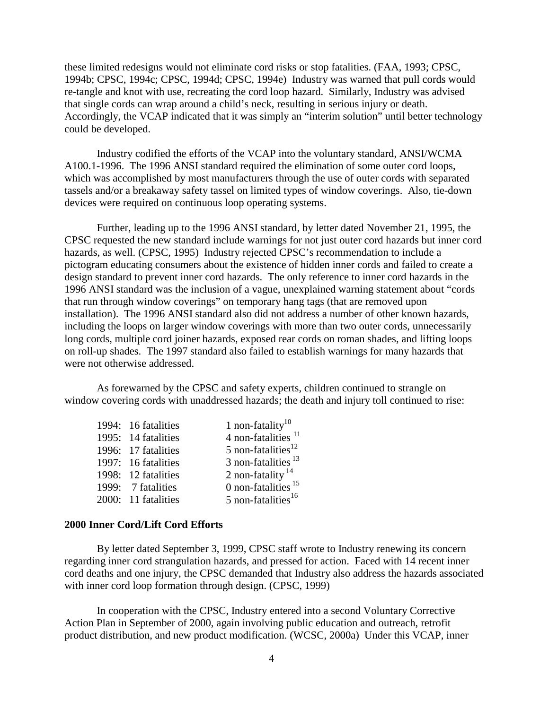these limited redesigns would not eliminate cord risks or stop fatalities. (FAA, 1993; CPSC, 1994b; CPSC, 1994c; CPSC, 1994d; CPSC, 1994e) Industry was warned that pull cords would re-tangle and knot with use, recreating the cord loop hazard. Similarly, Industry was advised that single cords can wrap around a child's neck, resulting in serious injury or death. Accordingly, the VCAP indicated that it was simply an "interim solution" until better technology could be developed.

Industry codified the efforts of the VCAP into the voluntary standard, ANSI/WCMA A100.1-1996. The 1996 ANSI standard required the elimination of some outer cord loops, which was accomplished by most manufacturers through the use of outer cords with separated tassels and/or a breakaway safety tassel on limited types of window coverings. Also, tie-down devices were required on continuous loop operating systems.

Further, leading up to the 1996 ANSI standard, by letter dated November 21, 1995, the CPSC requested the new standard include warnings for not just outer cord hazards but inner cord hazards, as well. (CPSC, 1995) Industry rejected CPSC's recommendation to include a pictogram educating consumers about the existence of hidden inner cords and failed to create a design standard to prevent inner cord hazards. The only reference to inner cord hazards in the 1996 ANSI standard was the inclusion of a vague, unexplained warning statement about "cords that run through window coverings" on temporary hang tags (that are removed upon installation). The 1996 ANSI standard also did not address a number of other known hazards, including the loops on larger window coverings with more than two outer cords, unnecessarily long cords, multiple cord joiner hazards, exposed rear cords on roman shades, and lifting loops on roll-up shades. The 1997 standard also failed to establish warnings for many hazards that were not otherwise addressed.

As forewarned by the CPSC and safety experts, children continued to strangle on window covering cords with unaddressed hazards; the death and injury toll continued to rise:

| 1994: 16 fatalities | 1 non-fatality $10$              |
|---------------------|----------------------------------|
| 1995: 14 fatalities | 4 non-fatalities $11$            |
| 1996: 17 fatalities | 5 non-fatalities $12$            |
| 1997: 16 fatalities | $3$ non-fatalities <sup>13</sup> |
| 1998: 12 fatalities | 2 non-fatality $14$              |
| 1999: 7 fatalities  | 0 non-fatalities $15$            |
| 2000: 11 fatalities | 5 non-fatalities $16$            |
|                     |                                  |

## **2000 Inner Cord/Lift Cord Efforts**

By letter dated September 3, 1999, CPSC staff wrote to Industry renewing its concern regarding inner cord strangulation hazards, and pressed for action. Faced with 14 recent inner cord deaths and one injury, the CPSC demanded that Industry also address the hazards associated with inner cord loop formation through design. (CPSC, 1999)

In cooperation with the CPSC, Industry entered into a second Voluntary Corrective Action Plan in September of 2000, again involving public education and outreach, retrofit product distribution, and new product modification. (WCSC, 2000a) Under this VCAP, inner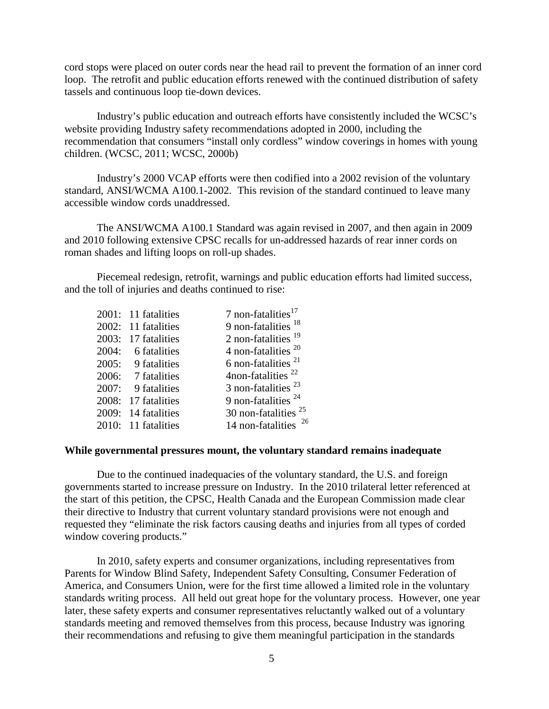cord stops were placed on outer cords near the head rail to prevent the formation of an inner cord loop. The retrofit and public education efforts renewed with the continued distribution of safety tassels and continuous loop tie-down devices.

Industry's public education and outreach efforts have consistently included the WCSC's website providing Industry safety recommendations adopted in 2000, including the recommendation that consumers "install only cordless" window coverings in homes with young children. (WCSC, 2011; WCSC, 2000b)

Industry's 2000 VCAP efforts were then codified into a 2002 revision of the voluntary standard, ANSI/WCMA A100.1-2002. This revision of the standard continued to leave many accessible window cords unaddressed.

The ANSI/WCMA A100.1 Standard was again revised in 2007, and then again in 2009 and 2010 following extensive CPSC recalls for un-addressed hazards of rear inner cords on roman shades and lifting loops on roll-up shades.

Piecemeal redesign, retrofit, warnings and public education efforts had limited success, and the toll of injuries and deaths continued to rise:

| 2001: 11 fatalities | 7 non-fatalities $17$    |
|---------------------|--------------------------|
| 2002: 11 fatalities | 9 non-fatalities $18$    |
| 2003: 17 fatalities | 2 non-fatalities $19$    |
| 2004: 6 fatalities  | 4 non-fatalities $20$    |
| 2005: 9 fatalities  | 6 non-fatalities $21$    |
| 2006: 7 fatalities  | 4non-fatalities $^{22}$  |
| 2007: 9 fatalities  | 3 non-fatalities $^{23}$ |
| 2008: 17 fatalities | 9 non-fatalities $24$    |
| 2009: 14 fatalities | 30 non-fatalities $25$   |
| 2010: 11 fatalities | -26<br>14 non-fatalities |
|                     |                          |

#### **While governmental pressures mount, the voluntary standard remains inadequate**

Due to the continued inadequacies of the voluntary standard, the U.S. and foreign governments started to increase pressure on Industry. In the 2010 trilateral letter referenced at the start of this petition, the CPSC, Health Canada and the European Commission made clear their directive to Industry that current voluntary standard provisions were not enough and requested they "eliminate the risk factors causing deaths and injuries from all types of corded window covering products."

In 2010, safety experts and consumer organizations, including representatives from Parents for Window Blind Safety, Independent Safety Consulting, Consumer Federation of America, and Consumers Union, were for the first time allowed a limited role in the voluntary standards writing process. All held out great hope for the voluntary process. However, one year later, these safety experts and consumer representatives reluctantly walked out of a voluntary standards meeting and removed themselves from this process, because Industry was ignoring their recommendations and refusing to give them meaningful participation in the standards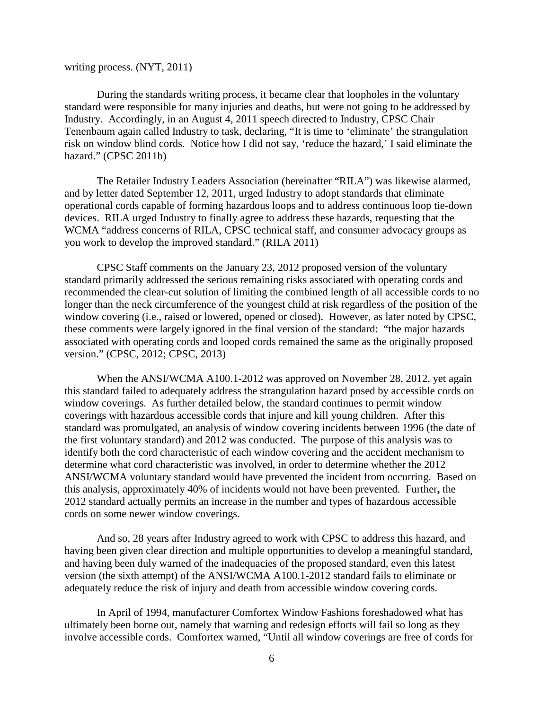writing process. (NYT, 2011)

During the standards writing process, it became clear that loopholes in the voluntary standard were responsible for many injuries and deaths, but were not going to be addressed by Industry. Accordingly, in an August 4, 2011 speech directed to Industry, CPSC Chair Tenenbaum again called Industry to task, declaring, "It is time to 'eliminate' the strangulation risk on window blind cords. Notice how I did not say, 'reduce the hazard,' I said eliminate the hazard." (CPSC 2011b)

The Retailer Industry Leaders Association (hereinafter "RILA") was likewise alarmed, and by letter dated September 12, 2011, urged Industry to adopt standards that eliminate operational cords capable of forming hazardous loops and to address continuous loop tie-down devices. RILA urged Industry to finally agree to address these hazards, requesting that the WCMA "address concerns of RILA, CPSC technical staff, and consumer advocacy groups as you work to develop the improved standard." (RILA 2011)

CPSC Staff comments on the January 23, 2012 proposed version of the voluntary standard primarily addressed the serious remaining risks associated with operating cords and recommended the clear-cut solution of limiting the combined length of all accessible cords to no longer than the neck circumference of the youngest child at risk regardless of the position of the window covering (i.e., raised or lowered, opened or closed). However, as later noted by CPSC, these comments were largely ignored in the final version of the standard: "the major hazards associated with operating cords and looped cords remained the same as the originally proposed version." (CPSC, 2012; CPSC, 2013)

When the ANSI/WCMA A100.1-2012 was approved on November 28, 2012, yet again this standard failed to adequately address the strangulation hazard posed by accessible cords on window coverings. As further detailed below, the standard continues to permit window coverings with hazardous accessible cords that injure and kill young children. After this standard was promulgated, an analysis of window covering incidents between 1996 (the date of the first voluntary standard) and 2012 was conducted. The purpose of this analysis was to identify both the cord characteristic of each window covering and the accident mechanism to determine what cord characteristic was involved, in order to determine whether the 2012 ANSI/WCMA voluntary standard would have prevented the incident from occurring. Based on this analysis, approximately 40% of incidents would not have been prevented. Further**,** the 2012 standard actually permits an increase in the number and types of hazardous accessible cords on some newer window coverings.

And so, 28 years after Industry agreed to work with CPSC to address this hazard, and having been given clear direction and multiple opportunities to develop a meaningful standard, and having been duly warned of the inadequacies of the proposed standard, even this latest version (the sixth attempt) of the ANSI/WCMA A100.1-2012 standard fails to eliminate or adequately reduce the risk of injury and death from accessible window covering cords.

In April of 1994, manufacturer Comfortex Window Fashions foreshadowed what has ultimately been borne out, namely that warning and redesign efforts will fail so long as they involve accessible cords. Comfortex warned, "Until all window coverings are free of cords for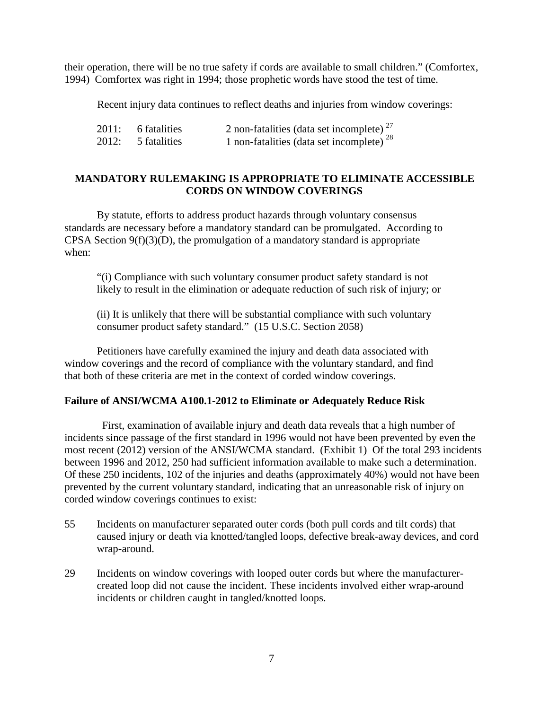their operation, there will be no true safety if cords are available to small children." (Comfortex, 1994) Comfortex was right in 1994; those prophetic words have stood the test of time.

Recent injury data continues to reflect deaths and injuries from window coverings:

| 2011: 6 fatalities   | 2 non-fatalities (data set incomplete) $27$    |
|----------------------|------------------------------------------------|
| $2012: 5$ fatalities | 1 non-fatalities (data set incomplete) $^{28}$ |

## **MANDATORY RULEMAKING IS APPROPRIATE TO ELIMINATE ACCESSIBLE CORDS ON WINDOW COVERINGS**

By statute, efforts to address product hazards through voluntary consensus standards are necessary before a mandatory standard can be promulgated. According to CPSA Section  $9(f)(3)(D)$ , the promulgation of a mandatory standard is appropriate when:

"(i) Compliance with such voluntary consumer product safety standard is not likely to result in the elimination or adequate reduction of such risk of injury; or

(ii) It is unlikely that there will be substantial compliance with such voluntary consumer product safety standard." (15 U.S.C. Section 2058)

Petitioners have carefully examined the injury and death data associated with window coverings and the record of compliance with the voluntary standard, and find that both of these criteria are met in the context of corded window coverings.

## **Failure of ANSI/WCMA A100.1-2012 to Eliminate or Adequately Reduce Risk**

First, examination of available injury and death data reveals that a high number of incidents since passage of the first standard in 1996 would not have been prevented by even the most recent (2012) version of the ANSI/WCMA standard. (Exhibit 1) Of the total 293 incidents between 1996 and 2012, 250 had sufficient information available to make such a determination. Of these 250 incidents, 102 of the injuries and deaths (approximately 40%) would not have been prevented by the current voluntary standard, indicating that an unreasonable risk of injury on corded window coverings continues to exist:

- 55 Incidents on manufacturer separated outer cords (both pull cords and tilt cords) that caused injury or death via knotted/tangled loops, defective break-away devices, and cord wrap-around.
- 29 Incidents on window coverings with looped outer cords but where the manufacturercreated loop did not cause the incident. These incidents involved either wrap-around incidents or children caught in tangled/knotted loops.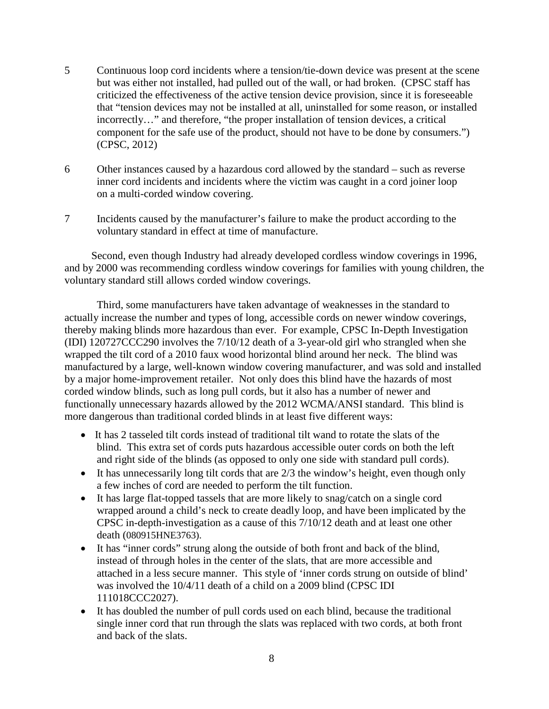- 5 Continuous loop cord incidents where a tension/tie-down device was present at the scene but was either not installed, had pulled out of the wall, or had broken. (CPSC staff has criticized the effectiveness of the active tension device provision, since it is foreseeable that "tension devices may not be installed at all, uninstalled for some reason, or installed incorrectly…" and therefore, "the proper installation of tension devices, a critical component for the safe use of the product, should not have to be done by consumers.") (CPSC, 2012)
- 6 Other instances caused by a hazardous cord allowed by the standard such as reverse inner cord incidents and incidents where the victim was caught in a cord joiner loop on a multi-corded window covering.
- 7 Incidents caused by the manufacturer's failure to make the product according to the voluntary standard in effect at time of manufacture.

Second, even though Industry had already developed cordless window coverings in 1996, and by 2000 was recommending cordless window coverings for families with young children, the voluntary standard still allows corded window coverings.

Third, some manufacturers have taken advantage of weaknesses in the standard to actually increase the number and types of long, accessible cords on newer window coverings, thereby making blinds more hazardous than ever. For example, CPSC In-Depth Investigation (IDI) 120727CCC290 involves the 7/10/12 death of a 3-year-old girl who strangled when she wrapped the tilt cord of a 2010 faux wood horizontal blind around her neck. The blind was manufactured by a large, well-known window covering manufacturer, and was sold and installed by a major home-improvement retailer. Not only does this blind have the hazards of most corded window blinds, such as long pull cords, but it also has a number of newer and functionally unnecessary hazards allowed by the 2012 WCMA/ANSI standard. This blind is more dangerous than traditional corded blinds in at least five different ways:

- It has 2 tasseled tilt cords instead of traditional tilt wand to rotate the slats of the blind. This extra set of cords puts hazardous accessible outer cords on both the left and right side of the blinds (as opposed to only one side with standard pull cords).
- It has unnecessarily long tilt cords that are  $2/3$  the window's height, even though only a few inches of cord are needed to perform the tilt function.
- It has large flat-topped tassels that are more likely to snag/catch on a single cord wrapped around a child's neck to create deadly loop, and have been implicated by the CPSC in-depth-investigation as a cause of this 7/10/12 death and at least one other death (080915HNE3763).
- It has "inner cords" strung along the outside of both front and back of the blind, instead of through holes in the center of the slats, that are more accessible and attached in a less secure manner. This style of 'inner cords strung on outside of blind' was involved the 10/4/11 death of a child on a 2009 blind (CPSC IDI 111018CCC2027).
- It has doubled the number of pull cords used on each blind, because the traditional single inner cord that run through the slats was replaced with two cords, at both front and back of the slats.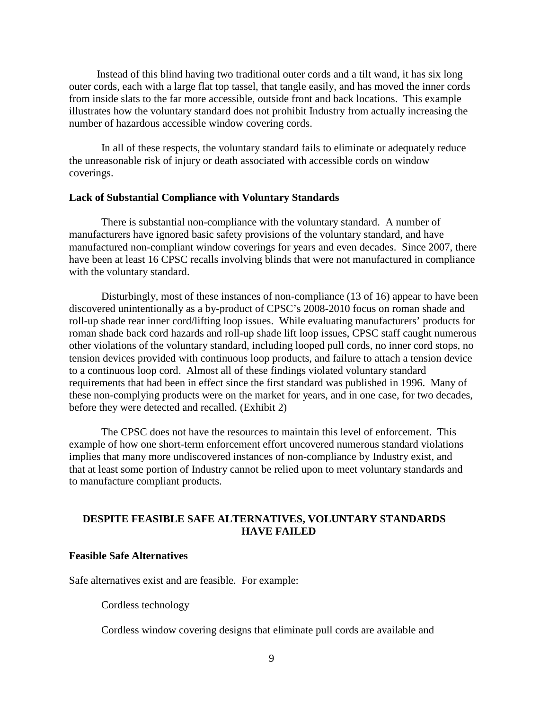Instead of this blind having two traditional outer cords and a tilt wand, it has six long outer cords, each with a large flat top tassel, that tangle easily, and has moved the inner cords from inside slats to the far more accessible, outside front and back locations. This example illustrates how the voluntary standard does not prohibit Industry from actually increasing the number of hazardous accessible window covering cords.

In all of these respects, the voluntary standard fails to eliminate or adequately reduce the unreasonable risk of injury or death associated with accessible cords on window coverings.

#### **Lack of Substantial Compliance with Voluntary Standards**

There is substantial non-compliance with the voluntary standard. A number of manufacturers have ignored basic safety provisions of the voluntary standard, and have manufactured non-compliant window coverings for years and even decades. Since 2007, there have been at least 16 CPSC recalls involving blinds that were not manufactured in compliance with the voluntary standard.

Disturbingly, most of these instances of non-compliance (13 of 16) appear to have been discovered unintentionally as a by-product of CPSC's 2008-2010 focus on roman shade and roll-up shade rear inner cord/lifting loop issues. While evaluating manufacturers' products for roman shade back cord hazards and roll-up shade lift loop issues, CPSC staff caught numerous other violations of the voluntary standard, including looped pull cords, no inner cord stops, no tension devices provided with continuous loop products, and failure to attach a tension device to a continuous loop cord. Almost all of these findings violated voluntary standard requirements that had been in effect since the first standard was published in 1996. Many of these non-complying products were on the market for years, and in one case, for two decades, before they were detected and recalled. (Exhibit 2)

The CPSC does not have the resources to maintain this level of enforcement. This example of how one short-term enforcement effort uncovered numerous standard violations implies that many more undiscovered instances of non-compliance by Industry exist, and that at least some portion of Industry cannot be relied upon to meet voluntary standards and to manufacture compliant products.

## **DESPITE FEASIBLE SAFE ALTERNATIVES, VOLUNTARY STANDARDS HAVE FAILED**

## **Feasible Safe Alternatives**

Safe alternatives exist and are feasible. For example:

Cordless technology

Cordless window covering designs that eliminate pull cords are available and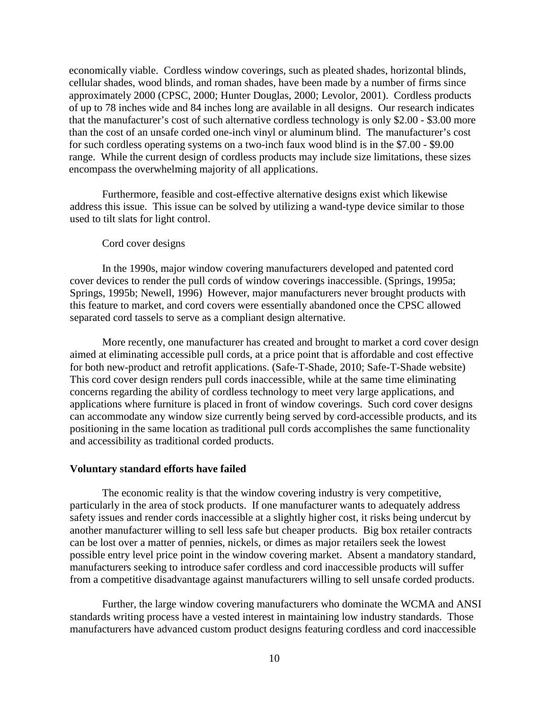economically viable. Cordless window coverings, such as pleated shades, horizontal blinds, cellular shades, wood blinds, and roman shades, have been made by a number of firms since approximately 2000 (CPSC, 2000; Hunter Douglas, 2000; Levolor, 2001). Cordless products of up to 78 inches wide and 84 inches long are available in all designs. Our research indicates that the manufacturer's cost of such alternative cordless technology is only \$2.00 - \$3.00 more than the cost of an unsafe corded one-inch vinyl or aluminum blind. The manufacturer's cost for such cordless operating systems on a two-inch faux wood blind is in the \$7.00 - \$9.00 range. While the current design of cordless products may include size limitations, these sizes encompass the overwhelming majority of all applications.

Furthermore, feasible and cost-effective alternative designs exist which likewise address this issue. This issue can be solved by utilizing a wand-type device similar to those used to tilt slats for light control.

### Cord cover designs

In the 1990s, major window covering manufacturers developed and patented cord cover devices to render the pull cords of window coverings inaccessible. (Springs, 1995a; Springs, 1995b; Newell, 1996) However, major manufacturers never brought products with this feature to market, and cord covers were essentially abandoned once the CPSC allowed separated cord tassels to serve as a compliant design alternative.

More recently, one manufacturer has created and brought to market a cord cover design aimed at eliminating accessible pull cords, at a price point that is affordable and cost effective for both new-product and retrofit applications. (Safe-T-Shade, 2010; Safe-T-Shade website) This cord cover design renders pull cords inaccessible, while at the same time eliminating concerns regarding the ability of cordless technology to meet very large applications, and applications where furniture is placed in front of window coverings. Such cord cover designs can accommodate any window size currently being served by cord-accessible products, and its positioning in the same location as traditional pull cords accomplishes the same functionality and accessibility as traditional corded products.

#### **Voluntary standard efforts have failed**

The economic reality is that the window covering industry is very competitive, particularly in the area of stock products. If one manufacturer wants to adequately address safety issues and render cords inaccessible at a slightly higher cost, it risks being undercut by another manufacturer willing to sell less safe but cheaper products. Big box retailer contracts can be lost over a matter of pennies, nickels, or dimes as major retailers seek the lowest possible entry level price point in the window covering market. Absent a mandatory standard, manufacturers seeking to introduce safer cordless and cord inaccessible products will suffer from a competitive disadvantage against manufacturers willing to sell unsafe corded products.

Further, the large window covering manufacturers who dominate the WCMA and ANSI standards writing process have a vested interest in maintaining low industry standards. Those manufacturers have advanced custom product designs featuring cordless and cord inaccessible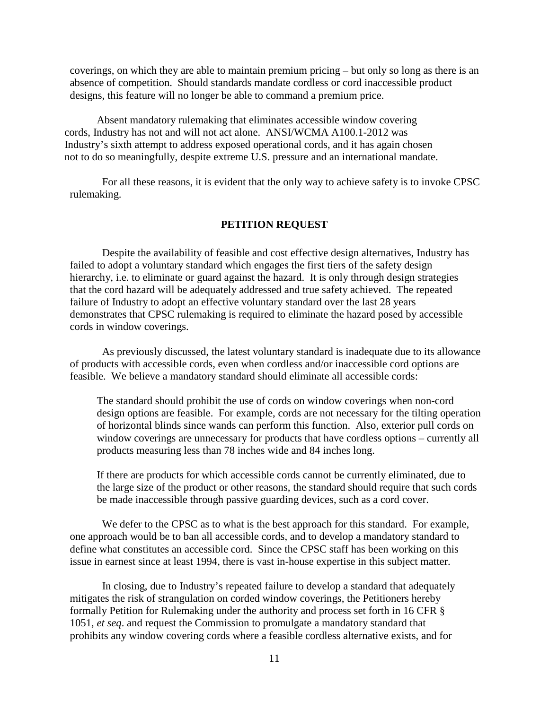coverings, on which they are able to maintain premium pricing – but only so long as there is an absence of competition. Should standards mandate cordless or cord inaccessible product designs, this feature will no longer be able to command a premium price.

 Absent mandatory rulemaking that eliminates accessible window covering cords, Industry has not and will not act alone. ANSI/WCMA A100.1-2012 was Industry's sixth attempt to address exposed operational cords, and it has again chosen not to do so meaningfully, despite extreme U.S. pressure and an international mandate.

For all these reasons, it is evident that the only way to achieve safety is to invoke CPSC rulemaking.

#### **PETITION REQUEST**

Despite the availability of feasible and cost effective design alternatives, Industry has failed to adopt a voluntary standard which engages the first tiers of the safety design hierarchy, i.e. to eliminate or guard against the hazard. It is only through design strategies that the cord hazard will be adequately addressed and true safety achieved. The repeated failure of Industry to adopt an effective voluntary standard over the last 28 years demonstrates that CPSC rulemaking is required to eliminate the hazard posed by accessible cords in window coverings.

As previously discussed, the latest voluntary standard is inadequate due to its allowance of products with accessible cords, even when cordless and/or inaccessible cord options are feasible. We believe a mandatory standard should eliminate all accessible cords:

The standard should prohibit the use of cords on window coverings when non-cord design options are feasible. For example, cords are not necessary for the tilting operation of horizontal blinds since wands can perform this function. Also, exterior pull cords on window coverings are unnecessary for products that have cordless options – currently all products measuring less than 78 inches wide and 84 inches long.

If there are products for which accessible cords cannot be currently eliminated, due to the large size of the product or other reasons, the standard should require that such cords be made inaccessible through passive guarding devices, such as a cord cover.

We defer to the CPSC as to what is the best approach for this standard. For example, one approach would be to ban all accessible cords, and to develop a mandatory standard to define what constitutes an accessible cord. Since the CPSC staff has been working on this issue in earnest since at least 1994, there is vast in-house expertise in this subject matter.

In closing, due to Industry's repeated failure to develop a standard that adequately mitigates the risk of strangulation on corded window coverings, the Petitioners hereby formally Petition for Rulemaking under the authority and process set forth in 16 CFR § 1051, *et seq*. and request the Commission to promulgate a mandatory standard that prohibits any window covering cords where a feasible cordless alternative exists, and for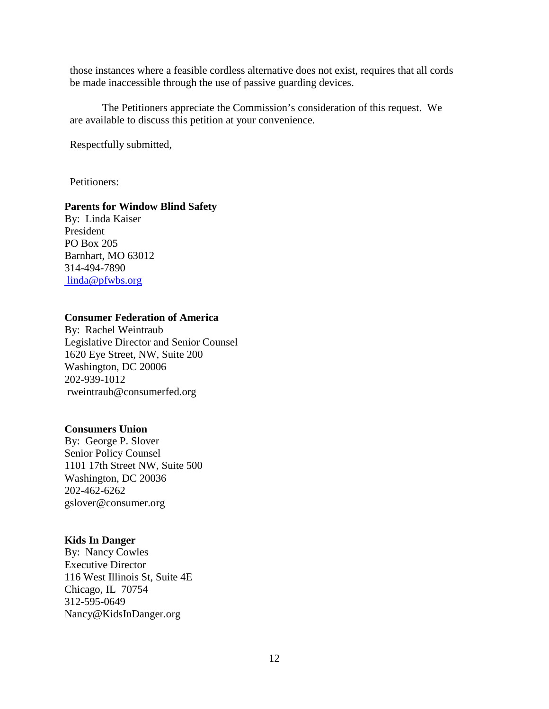those instances where a feasible cordless alternative does not exist, requires that all cords be made inaccessible through the use of passive guarding devices.

The Petitioners appreciate the Commission's consideration of this request. We are available to discuss this petition at your convenience.

Respectfully submitted,

Petitioners:

## **Parents for Window Blind Safety**

By: Linda Kaiser President PO Box 205 Barnhart, MO 63012 314-494-7890 linda@pfwbs.org

## **Consumer Federation of America**

By: Rachel Weintraub Legislative Director and Senior Counsel 1620 Eye Street, NW, Suite 200 Washington, DC 20006 202-939-1012 rweintraub@consumerfed.org

## **Consumers Union**

By: George P. Slover Senior Policy Counsel 1101 17th Street NW, Suite 500 Washington, DC 20036 202-462-6262 gslover@consumer.org

#### **Kids In Danger**

By: Nancy Cowles Executive Director 116 West Illinois St, Suite 4E Chicago, IL 70754 312-595-0649 Nancy@KidsInDanger.org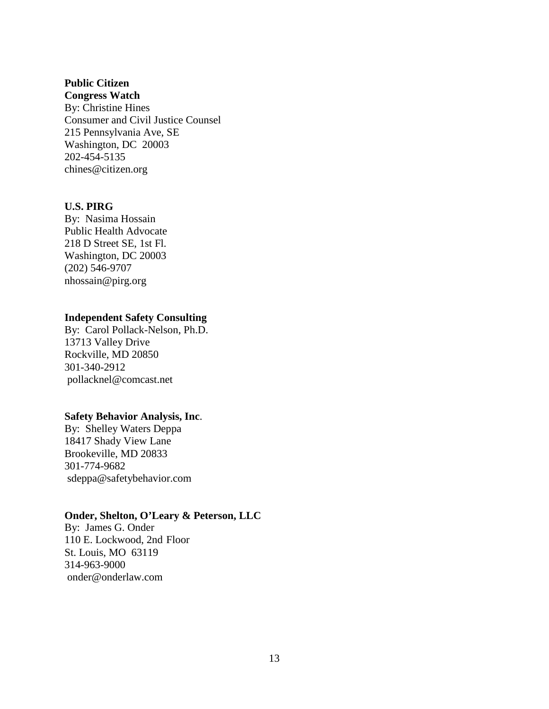#### **Public Citizen**

**Congress Watch**  By: Christine Hines Consumer and Civil Justice Counsel 215 Pennsylvania Ave, SE Washington, DC 20003 202-454-5135 chines@citizen.org

### **U.S. PIRG**

By: Nasima Hossain Public Health Advocate 218 D Street SE, 1st Fl. Washington, DC 20003 (202) 546-9707 nhossain@pirg.org

## **Independent Safety Consulting**

By: Carol Pollack-Nelson, Ph.D. 13713 Valley Drive Rockville, MD 20850 301-340-2912 pollacknel@comcast.net

#### **Safety Behavior Analysis, Inc**.

By: Shelley Waters Deppa 18417 Shady View Lane Brookeville, MD 20833 301-774-9682 sdeppa@safetybehavior.com

## **Onder, Shelton, O'Leary & Peterson, LLC**

By: James G. Onder 110 E. Lockwood, 2nd Floor St. Louis, MO 63119 314-963-9000 onder@onderlaw.com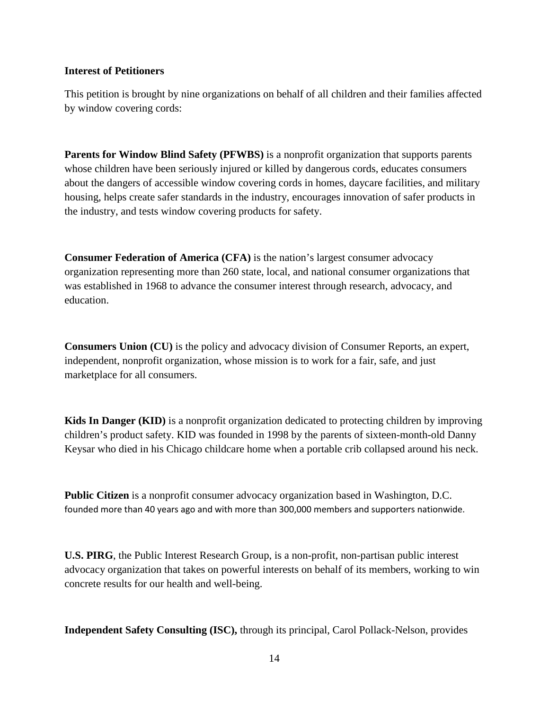## **Interest of Petitioners**

This petition is brought by nine organizations on behalf of all children and their families affected by window covering cords:

**Parents for Window Blind Safety (PFWBS)** is a nonprofit organization that supports parents whose children have been seriously injured or killed by dangerous cords, educates consumers about the dangers of accessible window covering cords in homes, daycare facilities, and military housing, helps create safer standards in the industry, encourages innovation of safer products in the industry, and tests window covering products for safety.

**Consumer Federation of America (CFA)** is the nation's largest consumer advocacy organization representing more than 260 state, local, and national consumer organizations that was established in 1968 to advance the consumer interest through research, advocacy, and education.

**Consumers Union (CU)** is the policy and advocacy division of Consumer Reports, an expert, independent, nonprofit organization, whose mission is to work for a fair, safe, and just marketplace for all consumers.

**Kids In Danger (KID)** is a nonprofit organization dedicated to protecting children by improving children's product safety. KID was founded in 1998 by the parents of sixteen-month-old Danny Keysar who died in his Chicago childcare home when a portable crib collapsed around his neck.

**Public Citizen** is a nonprofit consumer advocacy organization based in Washington, D.C. founded more than 40 years ago and with more than 300,000 members and supporters nationwide.

**U.S. PIRG**, the Public Interest Research Group, is a non-profit, non-partisan public interest advocacy organization that takes on powerful interests on behalf of its members, working to win concrete results for our health and well-being.

**Independent Safety Consulting (ISC),** through its principal, Carol Pollack-Nelson, provides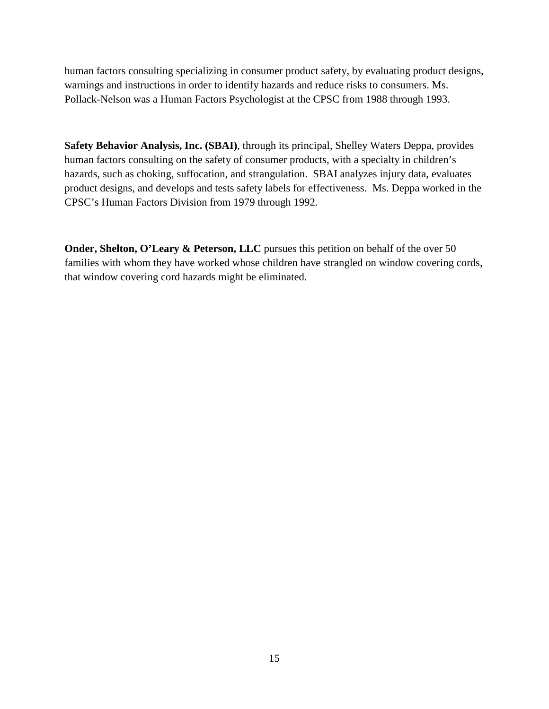human factors consulting specializing in consumer product safety, by evaluating product designs, warnings and instructions in order to identify hazards and reduce risks to consumers. Ms. Pollack-Nelson was a Human Factors Psychologist at the CPSC from 1988 through 1993.

**Safety Behavior Analysis, Inc. (SBAI)**, through its principal, Shelley Waters Deppa, provides human factors consulting on the safety of consumer products, with a specialty in children's hazards, such as choking, suffocation, and strangulation. SBAI analyzes injury data, evaluates product designs, and develops and tests safety labels for effectiveness. Ms. Deppa worked in the CPSC's Human Factors Division from 1979 through 1992.

**Onder, Shelton, O'Leary & Peterson, LLC** pursues this petition on behalf of the over 50 families with whom they have worked whose children have strangled on window covering cords, that window covering cord hazards might be eliminated.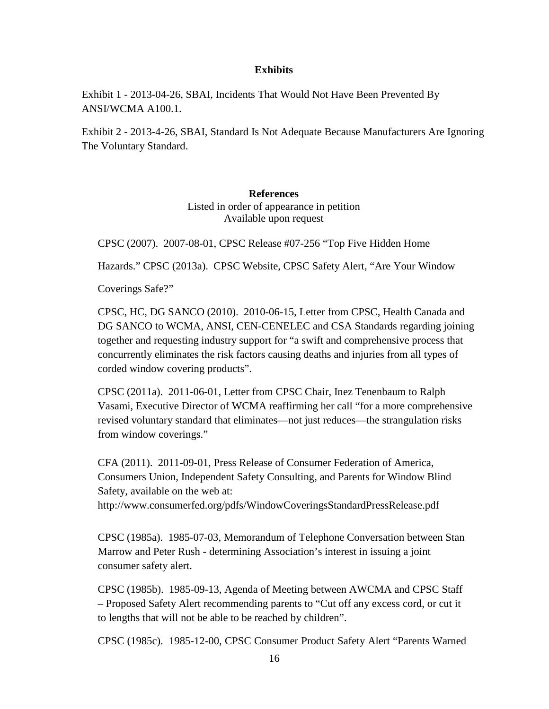## **Exhibits**

Exhibit 1 - 2013-04-26, SBAI, Incidents That Would Not Have Been Prevented By ANSI/WCMA A100.1.

Exhibit 2 - 2013-4-26, SBAI, Standard Is Not Adequate Because Manufacturers Are Ignoring The Voluntary Standard.

> **References** Listed in order of appearance in petition Available upon request

CPSC (2007). 2007-08-01, CPSC Release #07-256 "Top Five Hidden Home

Hazards." CPSC (2013a). CPSC Website, CPSC Safety Alert, "Are Your Window

Coverings Safe?"

CPSC, HC, DG SANCO (2010). 2010-06-15, Letter from CPSC, Health Canada and DG SANCO to WCMA, ANSI, CEN-CENELEC and CSA Standards regarding joining together and requesting industry support for "a swift and comprehensive process that concurrently eliminates the risk factors causing deaths and injuries from all types of corded window covering products".

CPSC (2011a). 2011-06-01, Letter from CPSC Chair, Inez Tenenbaum to Ralph Vasami, Executive Director of WCMA reaffirming her call "for a more comprehensive revised voluntary standard that eliminates—not just reduces—the strangulation risks from window coverings."

CFA (2011). 2011-09-01, Press Release of Consumer Federation of America, Consumers Union, Independent Safety Consulting, and Parents for Window Blind Safety, available on the web at:

http://www.consumerfed.org/pdfs/WindowCoveringsStandardPressRelease.pdf

CPSC (1985a). 1985-07-03, Memorandum of Telephone Conversation between Stan Marrow and Peter Rush - determining Association's interest in issuing a joint consumer safety alert.

CPSC (1985b). 1985-09-13, Agenda of Meeting between AWCMA and CPSC Staff – Proposed Safety Alert recommending parents to "Cut off any excess cord, or cut it to lengths that will not be able to be reached by children".

CPSC (1985c). 1985-12-00, CPSC Consumer Product Safety Alert "Parents Warned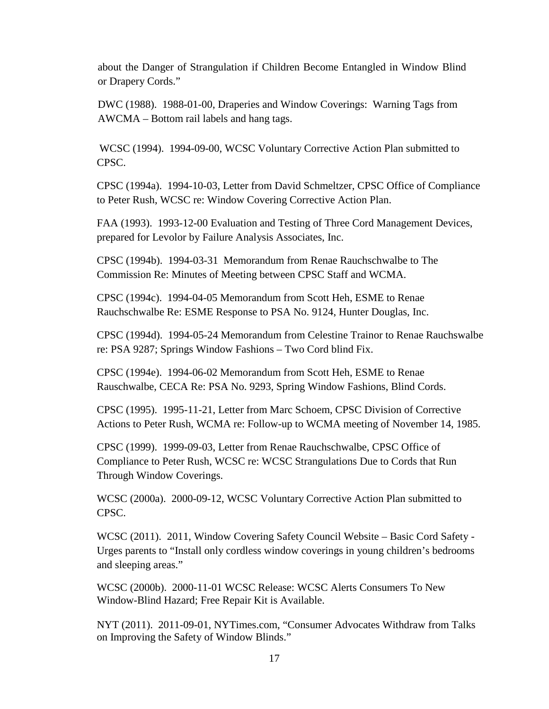about the Danger of Strangulation if Children Become Entangled in Window Blind or Drapery Cords."

DWC (1988). 1988-01-00, Draperies and Window Coverings: Warning Tags from AWCMA – Bottom rail labels and hang tags.

WCSC (1994). 1994-09-00, WCSC Voluntary Corrective Action Plan submitted to CPSC.

CPSC (1994a). 1994-10-03, Letter from David Schmeltzer, CPSC Office of Compliance to Peter Rush, WCSC re: Window Covering Corrective Action Plan.

FAA (1993). 1993-12-00 Evaluation and Testing of Three Cord Management Devices, prepared for Levolor by Failure Analysis Associates, Inc.

CPSC (1994b). 1994-03-31 Memorandum from Renae Rauchschwalbe to The Commission Re: Minutes of Meeting between CPSC Staff and WCMA.

CPSC (1994c). 1994-04-05 Memorandum from Scott Heh, ESME to Renae Rauchschwalbe Re: ESME Response to PSA No. 9124, Hunter Douglas, Inc.

CPSC (1994d). 1994-05-24 Memorandum from Celestine Trainor to Renae Rauchswalbe re: PSA 9287; Springs Window Fashions – Two Cord blind Fix.

CPSC (1994e). 1994-06-02 Memorandum from Scott Heh, ESME to Renae Rauschwalbe, CECA Re: PSA No. 9293, Spring Window Fashions, Blind Cords.

CPSC (1995). 1995-11-21, Letter from Marc Schoem, CPSC Division of Corrective Actions to Peter Rush, WCMA re: Follow-up to WCMA meeting of November 14, 1985.

CPSC (1999). 1999-09-03, Letter from Renae Rauchschwalbe, CPSC Office of Compliance to Peter Rush, WCSC re: WCSC Strangulations Due to Cords that Run Through Window Coverings.

WCSC (2000a). 2000-09-12, WCSC Voluntary Corrective Action Plan submitted to CPSC.

WCSC (2011). 2011, Window Covering Safety Council Website – Basic Cord Safety - Urges parents to "Install only cordless window coverings in young children's bedrooms and sleeping areas."

WCSC (2000b). 2000-11-01 WCSC Release: WCSC Alerts Consumers To New Window-Blind Hazard; Free Repair Kit is Available.

NYT (2011). 2011-09-01, NYTimes.com, "Consumer Advocates Withdraw from Talks on Improving the Safety of Window Blinds."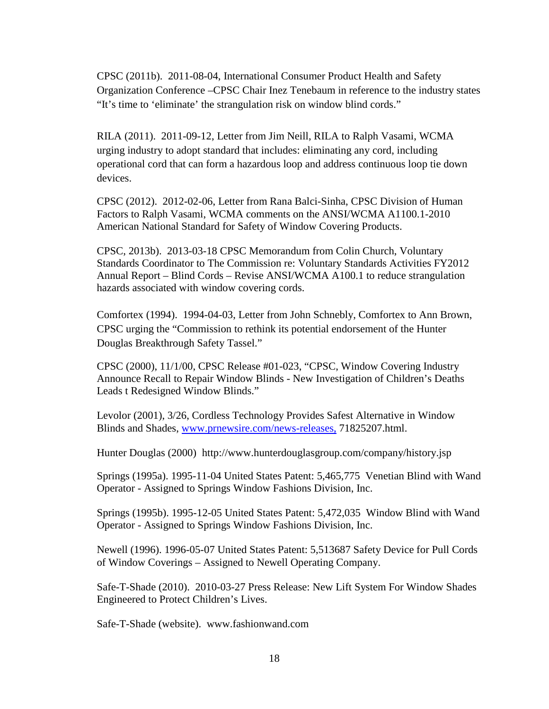CPSC (2011b). 2011-08-04, International Consumer Product Health and Safety Organization Conference –CPSC Chair Inez Tenebaum in reference to the industry states "It's time to 'eliminate' the strangulation risk on window blind cords."

RILA (2011). 2011-09-12, Letter from Jim Neill, RILA to Ralph Vasami, WCMA urging industry to adopt standard that includes: eliminating any cord, including operational cord that can form a hazardous loop and address continuous loop tie down devices.

CPSC (2012). 2012-02-06, Letter from Rana Balci-Sinha, CPSC Division of Human Factors to Ralph Vasami, WCMA comments on the ANSI/WCMA A1100.1-2010 American National Standard for Safety of Window Covering Products.

CPSC, 2013b). 2013-03-18 CPSC Memorandum from Colin Church, Voluntary Standards Coordinator to The Commission re: Voluntary Standards Activities FY2012 Annual Report – Blind Cords – Revise ANSI/WCMA A100.1 to reduce strangulation hazards associated with window covering cords.

Comfortex (1994). 1994-04-03, Letter from John Schnebly, Comfortex to Ann Brown, CPSC urging the "Commission to rethink its potential endorsement of the Hunter Douglas Breakthrough Safety Tassel."

CPSC (2000), 11/1/00, CPSC Release #01-023, "CPSC, Window Covering Industry Announce Recall to Repair Window Blinds - New Investigation of Children's Deaths Leads t Redesigned Window Blinds."

Levolor (2001), 3/26, Cordless Technology Provides Safest Alternative in Window Blinds and Shades, www.prnewsire.com/news-releases, 71825207.html.

Hunter Douglas (2000) http://www.hunterdouglasgroup.com/company/history.jsp

Springs (1995a). 1995-11-04 United States Patent: 5,465,775 Venetian Blind with Wand Operator - Assigned to Springs Window Fashions Division, Inc.

Springs (1995b). 1995-12-05 United States Patent: 5,472,035 Window Blind with Wand Operator - Assigned to Springs Window Fashions Division, Inc.

Newell (1996). 1996-05-07 United States Patent: 5,513687 Safety Device for Pull Cords of Window Coverings – Assigned to Newell Operating Company.

Safe-T-Shade (2010). 2010-03-27 Press Release: New Lift System For Window Shades Engineered to Protect Children's Lives.

Safe-T-Shade (website). www.fashionwand.com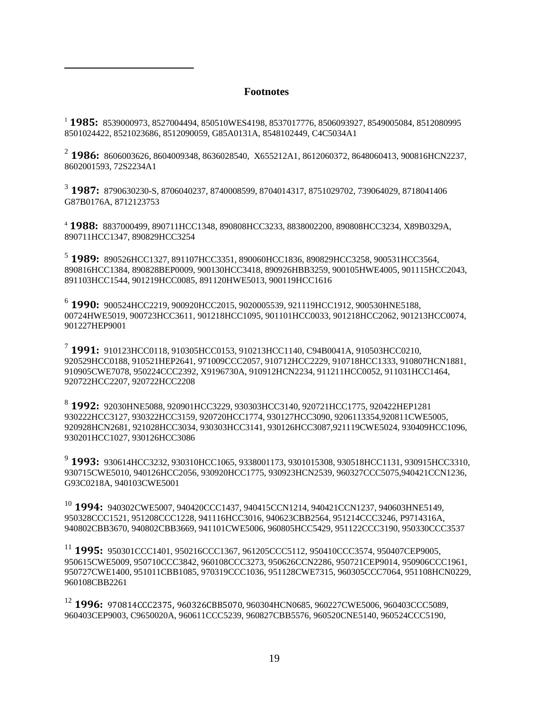**Footnotes**

<sup>1</sup>**1985:** 8539000973, 8527004494, 850510WES4198, 8537017776, 8506093927, 8549005084, 8512080995 8501024422, 8521023686, 8512090059, G85A0131A, 8548102449, C4C5034A1

<sup>2</sup> **1986:** 8606003626, 8604009348, 8636028540, X655212A1, 8612060372, 8648060413, 900816HCN2237, 8602001593, 72S2234A1

<sup>3</sup>**1987:** 8790630230-S, 8706040237, 8740008599, 8704014317, 8751029702, 739064029, 8718041406 G87B0176A, 8712123753

<sup>4</sup>**1988:** 8837000499, 890711HCC1348, 890808HCC3233, 8838002200, 890808HCC3234, X89B0329A, 890711HCC1347, 890829HCC3254

<sup>5</sup>**1989:** 890526HCC1327, 891107HCC3351, 890060HCC1836, 890829HCC3258, 900531HCC3564, 890816HCC1384, 890828BEP0009, 900130HCC3418, 890926HBB3259, 900105HWE4005, 901115HCC2043, 891103HCC1544, 901219HCC0085, 891120HWE5013, 900119HCC1616

<sup>6</sup>**1990:** 900524HCC2219, 900920HCC2015, 9020005539, 921119HCC1912, 900530HNE5188, 00724HWE5019, 900723HCC3611, 901218HCC1095, 901101HCC0033, 901218HCC2062, 901213HCC0074, 901227HEP9001

<sup>7</sup>**1991:** 910123HCC0118, 910305HCC0153, 910213HCC1140, C94B0041A, 910503HCC0210, 920529HCC0188, 910521HEP2641, 971009CCC2057, 910712HCC2229, 910718HCC1333, 910807HCN1881, 910905CWE7078, 950224CCC2392, X9196730A, 910912HCN2234, 911211HCC0052, 911031HCC1464, 920722HCC2207, 920722HCC2208

<sup>8</sup>**1992:** 92030HNE5088, 920901HCC3229, 930303HCC3140, 920721HCC1775, 920422HEP1281 930222HCC3127, 930322HCC3159, 920720HCC1774, 930127HCC3090, 9206113354,920811CWE5005, 920928HCN2681, 921028HCC3034, 930303HCC3141, 930126HCC3087,921119CWE5024, 930409HCC1096, 930201HCC1027, 930126HCC3086

<sup>9</sup>**1993:** 930614HCC3232, 930310HCC1065, 9338001173, 9301015308, 930518HCC1131, 930915HCC3310, 930715CWE5010, 940126HCC2056, 930920HCC1775, 930923HCN2539, 960327CCC5075,940421CCN1236, G93C0218A, 940103CWE5001

<sup>10</sup>**1994:** 940302CWE5007, 940420CCC1437, 940415CCN1214, 940421CCN1237, 940603HNE5149, 950328CCC1521, 951208CCC1228, 941116HCC3016, 940623CBB2564, 951214CCC3246, P9714316A, 940802CBB3670, 940802CBB3669, 941101CWE5006, 960805HCC5429, 951122CCC3190, 950330CCC3537

<sup>11</sup> 1995: 950301CCC1401, 950216CCC1367, 961205CCC5112, 950410CCC3574, 950407CEP9005, 950615CWE5009, 950710CCC3842, 960108CCC3273, 950626CCN2286, 950721CEP9014, 950906CCC1961, 950727CWE1400, 951011CBB1085, 970319CCC1036, 951128CWE7315, 960305CCC7064, 951108HCN0229, 960108CBB2261

<sup>12</sup>**1996:** 970814CCC2375, 960326CBB5070, 960304HCN0685, 960227CWE5006, 960403CCC5089, 960403CEP9003, C9650020A, 960611CCC5239, 960827CBB5576, 960520CNE5140, 960524CCC5190,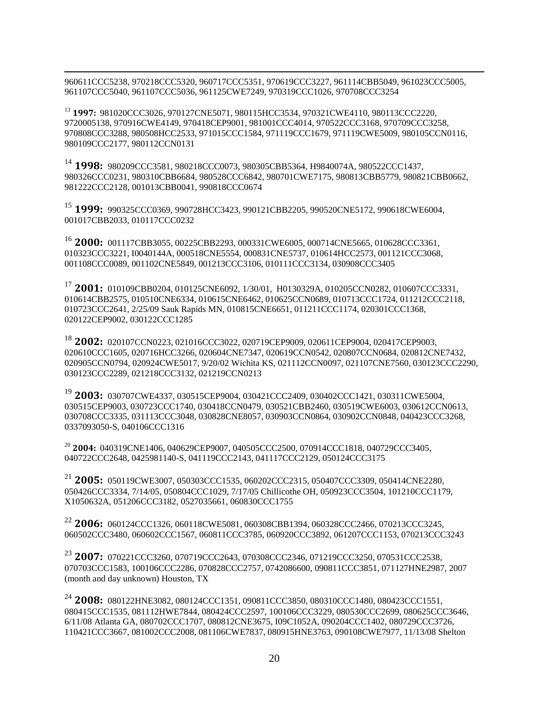960611CCC5238, 970218CCC5320, 960717CCC5351, 970619CCC3227, 961114CBB5049, 961023CCC5005, 961107CCC5040, 961107CCC5036, 961125CWE7249, 970319CCC1026, 970708CCC3254

<sup>13</sup>**1997:** 981020CCC3026, 970127CNE5071, 980115HCC3534, 970321CWE4110, 980113CCC2220, 9720005138, 970916CWE4149, 970418CEP9001, 981001CCC4014, 970522CCC3168, 970709CCC3258, 970808CCC3288, 980508HCC2533, 971015CCC1584, 971119CCC1679, 971119CWE5009, 980105CCN0116, 980109CCC2177, 980112CCN0131

<sup>14</sup>**1998:** 980209CCC3581, 980218CCC0073, 980305CBB5364, H9840074A, 980522CCC1437, 980326CCC0231, 980310CBB6684, 980528CCC6842, 980701CWE7175, 980813CBB5779, 980821CBB0662, 981222CCC2128, 001013CBB0041, 990818CCC0674

<sup>15</sup>**1999:** 990325CCC0369, 990728HCC3423, 990121CBB2205, 990520CNE5172, 990618CWE6004, 001017CBB2033, 010117CCC0232

<sup>16</sup>**2000:** 001117CBB3055, 00225CBB2293, 000331CWE6005, 000714CNE5665, 010628CCC3361, 010323CCC3221, I0040144A, 000518CNE5554, 000831CNE5737, 010614HCC2573, 001121CCC3068, 001108CCC0089, 001102CNE5849, 001213CCC3106, 010111CCC3134, 030908CCC3405

<sup>17</sup>**2001:** 010109CBB0204, 010125CNE6092, 1/30/01, H0130329A, 010205CCN0282, 010607CCC3331, 010614CBB2575, 010510CNE6334, 010615CNE6462, 010625CCN0689, 010713CCC1724, 011212CCC2118, 010723CCC2641, 2/25/09 Sauk Rapids MN, 010815CNE6651, 011211CCC1174, 020301CCC1368, 020122CEP9002, 030122CCC1285

<sup>18</sup>**2002:** 020107CCN0223, 021016CCC3022, 020719CEP9009, 020611CEP9004, 020417CEP9003, 020610CCC1605, 020716HCC3266, 020604CNE7347, 020619CCN0542, 020807CCN0684, 020812CNE7432, 020905CCN0794, 020924CWE5017, 9/20/02 Wichita KS, 021112CCN0097, 021107CNE7560, 030123CCC2290, 030123CCC2289, 021218CCC3132, 021219CCN0213

<sup>19</sup>**2003:** 030707CWE4337, 030515CEP9004, 030421CCC2409, 030402CCC1421, 030311CWE5004, 030515CEP9003, 030723CCC1740, 030418CCN0479, 030521CBB2460, 030519CWE6003, 030612CCN0613, 030708CCC3335, 031113CCC3048, 030828CNE8057, 030903CCN0864, 030902CCN0848, 040423CCC3268, 0337093050-S, 040106CCC1316

<sup>20</sup>**2004:** 040319CNE1406, 040629CEP9007, 040505CCC2500, 070914CCC1818, 040729CCC3405, 040722CCC2648, 0425981140-S, 041119CCC2143, 041117CCC2129, 050124CCC3175

<sup>21</sup>**2005:** 050119CWE3007, 050303CCC1535, 060202CCC2315, 050407CCC3309, 050414CNE2280, 050426CCC3334, 7/14/05, 050804CCC1029, 7/17/05 Chillicothe OH, 050923CCC3504, 101210CCC1179, X1050632A, 051206CCC3182, 0527035661, 060830CCC1755

<sup>22</sup>**2006:** 060124CCC1326, 060118CWE5081, 060308CBB1394, 060328CCC2466, 070213CCC3245, 060502CCC3480, 060602CCC1567, 060811CCC3785, 060920CCC3892, 061207CCC1153, 070213CCC3243

<sup>23</sup>**2007:** 070221CCC3260, 070719CCC2643, 070308CCC2346, 071219CCC3250, 070531CCC2538, 070703CCC1583, 100106CCC2286, 070828CCC2757, 0742086600, 090811CCC3851, 071127HNE2987, 2007 (month and day unknown) Houston, TX

<sup>24</sup>**2008:** 080122HNE3082, 080124CCC1351, 090811CCC3850, 080310CCC1480, 080423CCC1551, 080415CCC1535, 081112HWE7844, 080424CCC2597, 100106CCC3229, 080530CCC2699, 080625CCC3646, 6/11/08 Atlanta GA, 080702CCC1707, 080812CNE3675, I09C1052A, 090204CCC1402, 080729CCC3726, 110421CCC3667, 081002CCC2008, 081106CWE7837, 080915HNE3763, 090108CWE7977, 11/13/08 Shelton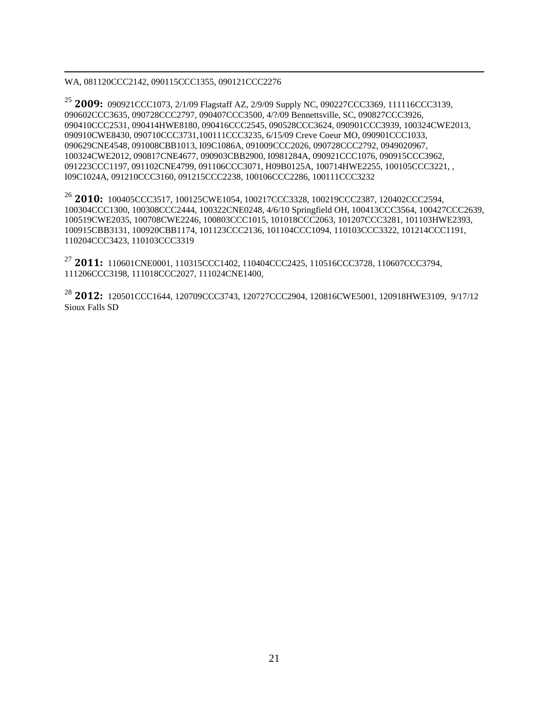#### WA, 081120CCC2142, 090115CCC1355, 090121CCC2276

<sup>25</sup>**2009:** 090921CCC1073, 2/1/09 Flagstaff AZ, 2/9/09 Supply NC, 090227CCC3369, 111116CCC3139, 090602CCC3635, 090728CCC2797, 090407CCC3500, 4/?/09 Bennettsville, SC, 090827CCC3926, 090410CCC2531, 090414HWE8180, 090416CCC2545, 090528CCC3624, 090901CCC3939, 100324CWE2013, 090910CWE8430, 090710CCC3731,100111CCC3235, 6/15/09 Creve Coeur MO, 090901CCC1033, 090629CNE4548, 091008CBB1013, I09C1086A, 091009CCC2026, 090728CCC2792, 0949020967, 100324CWE2012, 090817CNE4677, 090903CBB2900, I0981284A, 090921CCC1076, 090915CCC3962, 091223CCC1197, 091102CNE4799, 091106CCC3071, H09B0125A, 100714HWE2255, 100105CCC3221, , I09C1024A, 091210CCC3160, 091215CCC2238, 100106CCC2286, 100111CCC3232

<sup>26</sup>**2010:** 100405CCC3517, 100125CWE1054, 100217CCC3328, 100219CCC2387, 120402CCC2594, 100304CCC1300, 100308CCC2444, 100322CNE0248, 4/6/10 Springfield OH, 100413CCC3564, 100427CCC2639, 100519CWE2035, 100708CWE2246, 100803CCC1015, 101018CCC2063, 101207CCC3281, 101103HWE2393, 100915CBB3131, 100920CBB1174, 101123CCC2136, 101104CCC1094, 110103CCC3322, 101214CCC1191, 110204CCC3423, 110103CCC3319

<sup>27</sup>**2011:** 110601CNE0001, 110315CCC1402, 110404CCC2425, 110516CCC3728, 110607CCC3794, 111206CCC3198, 111018CCC2027, 111024CNE1400,

<sup>28</sup>**2012:** 120501CCC1644, 120709CCC3743, 120727CCC2904, 120816CWE5001, 120918HWE3109, 9/17/12 Sioux Falls SD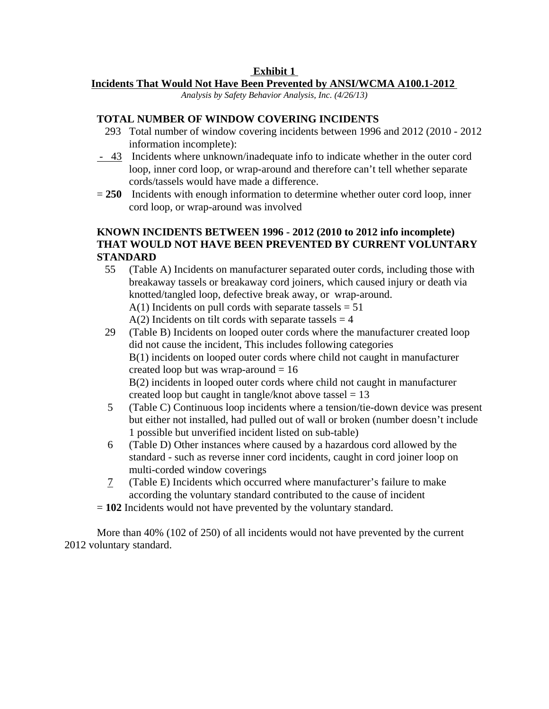## **Exhibit 1**

## **Incidents That Would Not Have Been Prevented by ANSI/WCMA A100.1-2012**

*Analysis by Safety Behavior Analysis, Inc. (4/26/13)*

## **TOTAL NUMBER OF WINDOW COVERING INCIDENTS**

- 293 Total number of window covering incidents between 1996 and 2012 (2010 2012 information incomplete):
- 43 Incidents where unknown/inadequate info to indicate whether in the outer cord loop, inner cord loop, or wrap-around and therefore can't tell whether separate cords/tassels would have made a difference.
- = **250** Incidents with enough information to determine whether outer cord loop, inner cord loop, or wrap-around was involved

## **KNOWN INCIDENTS BETWEEN 1996 - 2012 (2010 to 2012 info incomplete) THAT WOULD NOT HAVE BEEN PREVENTED BY CURRENT VOLUNTARY STANDARD**

 55 (Table A) Incidents on manufacturer separated outer cords, including those with breakaway tassels or breakaway cord joiners, which caused injury or death via knotted/tangled loop, defective break away, or wrap-around.  $A(1)$  Incidents on pull cords with separate tassels = 51  $A(2)$  Incidents on tilt cords with separate tassels = 4

 29 (Table B) Incidents on looped outer cords where the manufacturer created loop did not cause the incident, This includes following categories B(1) incidents on looped outer cords where child not caught in manufacturer created loop but was wrap-around  $= 16$ B(2) incidents in looped outer cords where child not caught in manufacturer

created loop but caught in tangle/knot above tassel  $= 13$ 

- 5 (Table C) Continuous loop incidents where a tension/tie-down device was present but either not installed, had pulled out of wall or broken (number doesn't include 1 possible but unverified incident listed on sub-table)
- 6 (Table D) Other instances where caused by a hazardous cord allowed by the standard - such as reverse inner cord incidents, caught in cord joiner loop on multi-corded window coverings
- 7 (Table E) Incidents which occurred where manufacturer's failure to make according the voluntary standard contributed to the cause of incident
- = **102** Incidents would not have prevented by the voluntary standard.

More than 40% (102 of 250) of all incidents would not have prevented by the current 2012 voluntary standard.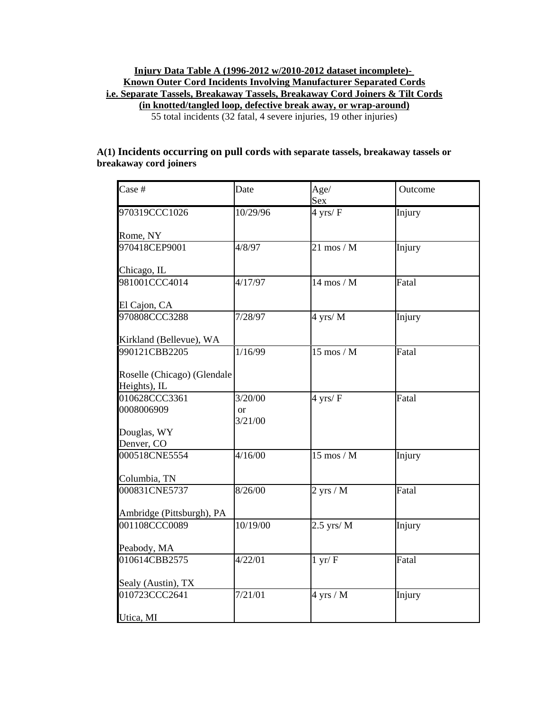## **Injury Data Table A (1996-2012 w/2010-2012 dataset incomplete)- Known Outer Cord Incidents Involving Manufacturer Separated Cords i.e. Separate Tassels, Breakaway Tassels, Breakaway Cord Joiners & Tilt Cords (in knotted/tangled loop, defective break away, or wrap-around)** 55 total incidents (32 fatal, 4 severe injuries, 19 other injuries)

## **A(1) Incidents occurring on pull cords with separate tassels, breakaway tassels or breakaway cord joiners**

| Case #                                      | Date          | Age/<br>Sex                            | Outcome |
|---------------------------------------------|---------------|----------------------------------------|---------|
| 970319CCC1026                               | 10/29/96      | $4 \text{ yrs}/\text{ F}$              | Injury  |
| Rome, NY                                    |               |                                        |         |
| 970418CEP9001                               | 4/8/97        | $21 \text{ mos} / \text{M}$            | Injury  |
| Chicago, IL                                 |               |                                        |         |
| 981001CCC4014                               | 4/17/97       | $14 \text{ mos} / \overline{\text{M}}$ | Fatal   |
| El Cajon, CA                                |               |                                        |         |
| 970808CCC3288                               | 7/28/97       | $4 \frac{\text{yrs}}{M}$               | Injury  |
| Kirkland (Bellevue), WA                     |               |                                        |         |
| 990121CBB2205                               | 1/16/99       | $15 \text{ mos} / M$                   | Fatal   |
| Roselle (Chicago) (Glendale<br>Heights), IL |               |                                        |         |
| 010628CCC3361                               | 3/20/00       | $4$ yrs/ $F$                           | Fatal   |
| 0008006909                                  | or<br>3/21/00 |                                        |         |
| Douglas, WY                                 |               |                                        |         |
| Denver, CO                                  |               |                                        |         |
| 000518CNE5554                               | 4/16/00       | $15 \text{ mos} / M$                   | Injury  |
| Columbia, TN                                |               |                                        |         |
| 000831CNE5737                               | 8/26/00       | $2$ yrs / M                            | Fatal   |
| Ambridge (Pittsburgh), PA                   |               |                                        |         |
| 001108CCC0089                               | 10/19/00      | $2.5$ yrs/ M                           | Injury  |
| Peabody, MA                                 |               |                                        |         |
| 010614CBB2575                               | 4/22/01       | $1 \text{ yr}/\text{F}$                | Fatal   |
| Sealy (Austin), TX                          |               |                                        |         |
| 010723CCC2641                               | 7/21/01       | $4$ yrs / M                            | Injury  |
| Utica, MI                                   |               |                                        |         |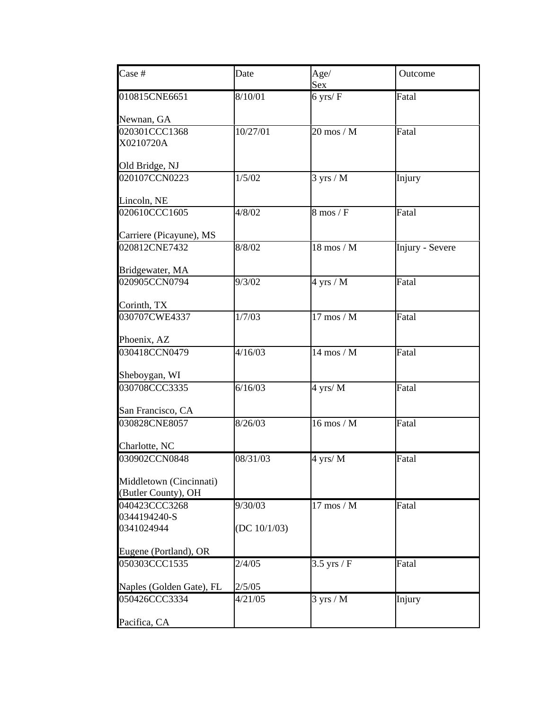| Case #                   | Date         | Age/<br>Sex                            | Outcome         |
|--------------------------|--------------|----------------------------------------|-----------------|
| 010815CNE6651            | 8/10/01      | $6$ yrs/ $F$                           | Fatal           |
| Newnan, GA               |              |                                        |                 |
| 020301CCC1368            | 10/27/01     | $20 \text{ mos} / M$                   | Fatal           |
| X0210720A                |              |                                        |                 |
| Old Bridge, NJ           |              |                                        |                 |
| 020107CCN0223            | 1/5/02       | $3$ yrs / M                            | Injury          |
| Lincoln, NE              |              |                                        |                 |
| 020610CCC1605            | 4/8/02       | $8 \text{ mos} / F$                    | Fatal           |
| Carriere (Picayune), MS  |              |                                        |                 |
| 020812CNE7432            | 8/8/02       | 18 mos / M                             | Injury - Severe |
| Bridgewater, MA          |              |                                        |                 |
| 020905CCN0794            | 9/3/02       | 4 yrs / $\overline{\rm M}$             | Fatal           |
|                          |              |                                        |                 |
| Corinth, TX              |              |                                        |                 |
| 030707CWE4337            | 1/7/03       | $17 \text{ mos} / \overline{\text{M}}$ | Fatal           |
| Phoenix, AZ              |              |                                        |                 |
| 030418CCN0479            | 4/16/03      | $14 \text{ mos} / M$                   | Fatal           |
| Sheboygan, WI            |              |                                        |                 |
| 030708CCC3335            | 6/16/03      | 4 yrs/M                                | Fatal           |
|                          |              |                                        |                 |
| San Francisco, CA        |              |                                        |                 |
| 030828CNE8057            | 8/26/03      | $16 \text{ mos} / \overline{\text{M}}$ | Fatal           |
| Charlotte, NC            |              |                                        |                 |
|                          | 08/31/03     |                                        | Fatal           |
| 030902CCN0848            |              | 4 yrs/M                                |                 |
| Middletown (Cincinnati)  |              |                                        |                 |
| (Butler County), OH      |              |                                        |                 |
| 040423CCC3268            | 9/30/03      | $17 \text{ mos} / M$                   | Fatal           |
| 0344194240-S             |              |                                        |                 |
| 0341024944               | (DC 10/1/03) |                                        |                 |
| Eugene (Portland), OR    |              |                                        |                 |
| 050303CCC1535            | 2/4/05       | $3.5$ yrs / F                          | Fatal           |
|                          |              |                                        |                 |
| Naples (Golden Gate), FL | 2/5/05       |                                        |                 |
| 050426CCC3334            | 4/21/05      | $3 \text{ yrs} / M$                    | Injury          |
| Pacifica, CA             |              |                                        |                 |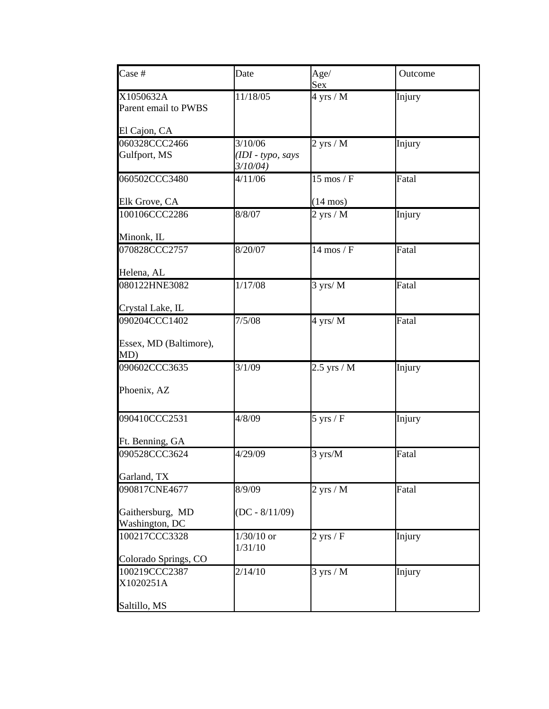| Case #                             | Date                             | Age/<br>Sex                           | Outcome |
|------------------------------------|----------------------------------|---------------------------------------|---------|
| X1050632A<br>Parent email to PWBS  | 11/18/05                         | $4 \text{ yrs} / \overline{\text{M}}$ | Injury  |
| El Cajon, CA                       |                                  |                                       |         |
| 060328CCC2466                      | 3/10/06                          | $2$ yrs / M                           | Injury  |
| Gulfport, MS                       | (IDI - typo, says<br>$3/10/04$ ) |                                       |         |
| 060502CCC3480                      | 4/11/06                          | $15 \text{ mos} / F$                  | Fatal   |
| Elk Grove, CA                      |                                  | $(14 \text{ mos})$                    |         |
| 100106CCC2286                      | 8/8/07                           | $2 \text{ yrs} / M$                   | Injury  |
| Minonk, IL                         |                                  |                                       |         |
| 070828CCC2757                      | 8/20/07                          | $14 \text{ mos} / F$                  | Fatal   |
| Helena, AL                         |                                  |                                       |         |
| 080122HNE3082                      | 1/17/08                          | $3$ yrs/ M                            | Fatal   |
| Crystal Lake, IL                   |                                  |                                       |         |
| 090204CCC1402                      | 7/5/08                           | 4 yrs/ $\overline{\rm M}$             | Fatal   |
| Essex, MD (Baltimore),<br>MD)      |                                  |                                       |         |
| 090602CCC3635                      | 3/1/09                           | $2.5$ yrs / M                         | Injury  |
| Phoenix, AZ                        |                                  |                                       |         |
| 090410CCC2531                      | 4/8/09                           | $5$ yrs / F                           | Injury  |
| Ft. Benning, GA                    |                                  |                                       |         |
| 090528CCC3624                      | 4/29/09                          | 3 yrs/M                               | Fatal   |
| Garland, TX                        |                                  |                                       |         |
| 090817CNE4677                      | 8/9/09                           | $2$ yrs / M                           | Fatal   |
| Gaithersburg, MD<br>Washington, DC | $(DC - 8/11/09)$                 |                                       |         |
| 100217CCC3328                      | $1/30/10$ or<br>1/31/10          | $2$ yrs / $F$                         | Injury  |
| Colorado Springs, CO               |                                  |                                       |         |
| 100219CCC2387<br>X1020251A         | 2/14/10                          | $3$ yrs / M                           | Injury  |
| Saltillo, MS                       |                                  |                                       |         |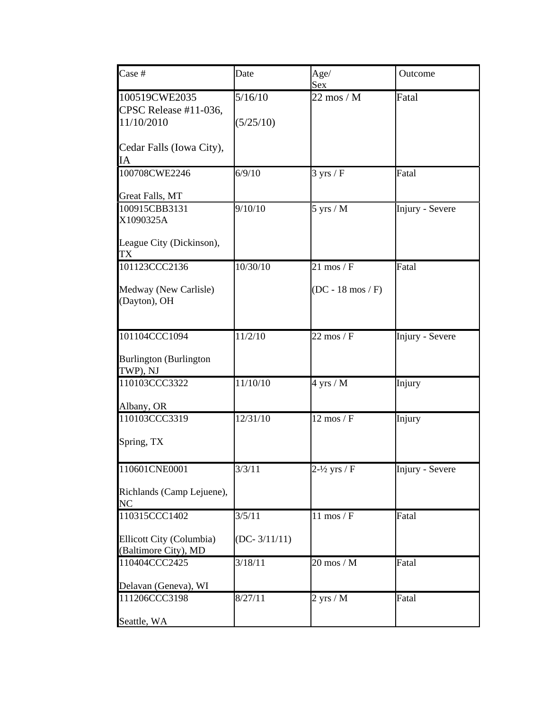| Case #                                           | Date           | Age/<br>Sex                 | Outcome         |
|--------------------------------------------------|----------------|-----------------------------|-----------------|
| 100519CWE2035<br>CPSC Release #11-036,           | 5/16/10        | $22 \text{ mos} / M$        | Fatal           |
| 11/10/2010                                       | (5/25/10)      |                             |                 |
| Cedar Falls (Iowa City),<br>ΙA                   |                |                             |                 |
| 100708CWE2246                                    | 6/9/10         | $3 \text{ yrs} / F$         | Fatal           |
| Great Falls, MT                                  |                |                             |                 |
| 100915CBB3131<br>X1090325A                       | 9/10/10        | $5$ yrs / M                 | Injury - Severe |
| League City (Dickinson),<br>TX                   |                |                             |                 |
| 101123CCC2136                                    | 10/30/10       | $21 \text{ mos} / F$        | Fatal           |
| Medway (New Carlisle)<br>(Dayton), OH            |                | $(DC - 18 \text{ mos}/F)$   |                 |
| 101104CCC1094                                    | 11/2/10        | $22 \text{ mos} / \text{F}$ | Injury - Severe |
| <b>Burlington</b> (Burlington<br>TWP), NJ        |                |                             |                 |
| 110103CCC3322                                    | 11/10/10       | $4 \text{ yrs} / M$         | Injury          |
| Albany, OR                                       |                |                             |                 |
| 110103CCC3319                                    | 12/31/10       | $12 \text{ mos} / F$        | Injury          |
| Spring, TX                                       |                |                             |                 |
| 110601CNE0001                                    | 3/3/11         | 2-½ yrs / F                 | Injury - Severe |
| Richlands (Camp Lejuene),<br>N <sub>C</sub>      |                |                             |                 |
| 110315CCC1402                                    | 3/5/11         | $11 \text{ mos} / F$        | Fatal           |
| Ellicott City (Columbia)<br>(Baltimore City), MD | $(DC-3/11/11)$ |                             |                 |
| 110404CCC2425                                    | 3/18/11        | $20 \text{ mos} / M$        | Fatal           |
| Delavan (Geneva), WI                             |                |                             |                 |
| 111206CCC3198                                    | 8/27/11        | $2 \text{ yrs} / M$         | Fatal           |
| Seattle, WA                                      |                |                             |                 |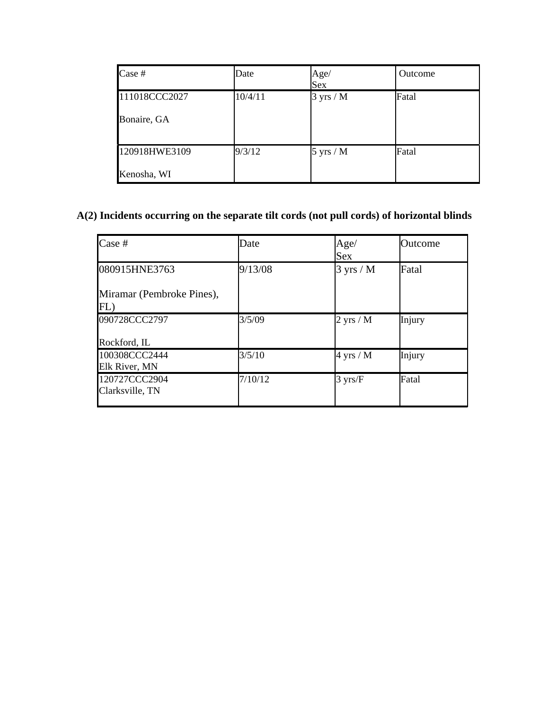| Case #        | Date    | Age/<br>Sex         | Outcome |
|---------------|---------|---------------------|---------|
| 111018CCC2027 | 10/4/11 | $3 \text{ yrs} / M$ | Fatal   |
| Bonaire, GA   |         |                     |         |
| 120918HWE3109 | 9/3/12  | $5 \text{ yrs} / M$ | Fatal   |
| Kenosha, WI   |         |                     |         |

# **A(2) Incidents occurring on the separate tilt cords (not pull cords) of horizontal blinds**

| Case #                           | Date    | Age/<br>Sex         | Outcome |
|----------------------------------|---------|---------------------|---------|
| 080915HNE3763                    | 9/13/08 | $3 \text{ yrs} / M$ | Fatal   |
| Miramar (Pembroke Pines),<br>FL) |         |                     |         |
| 090728CCC2797                    | 3/5/09  | $2 \text{ yrs} / M$ | Injury  |
| Rockford, IL                     |         |                     |         |
| 100308CCC2444<br>Elk River, MN   | 3/5/10  | $4 \text{ yrs} / M$ | Injury  |
| 120727CCC2904<br>Clarksville, TN | 7/10/12 | $3 \text{ yrs/F}$   | Fatal   |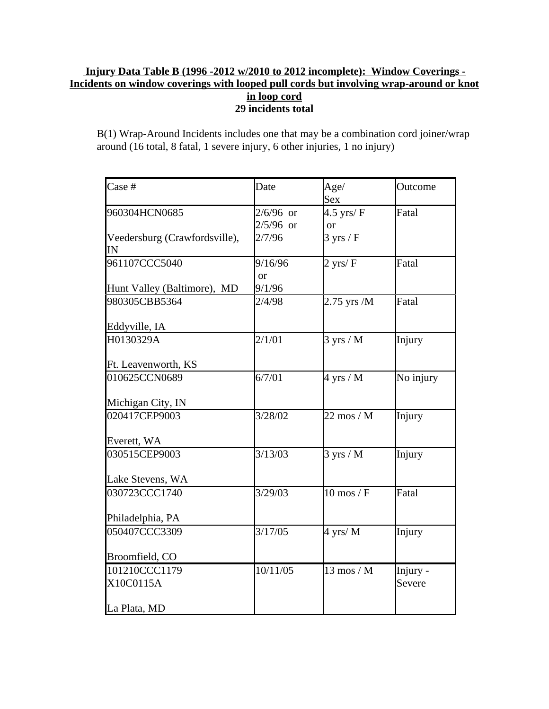## **Injury Data Table B (1996 -2012 w/2010 to 2012 incomplete): Window Coverings - Incidents on window coverings with looped pull cords but involving wrap-around or knot in loop cord 29 incidents total**

B(1) Wrap-Around Incidents includes one that may be a combination cord joiner/wrap around (16 total, 8 fatal, 1 severe injury, 6 other injuries, 1 no injury)

| Case #                                               | Date                                 | Age/<br>Sex                                      | Outcome            |
|------------------------------------------------------|--------------------------------------|--------------------------------------------------|--------------------|
| 960304HCN0685<br>Veedersburg (Crawfordsville),<br>IN | $2/6/96$ or<br>$2/5/96$ or<br>2/7/96 | 4.5 yrs/ $F$<br><b>or</b><br>$3 \text{ yrs} / F$ | Fatal              |
| 961107CCC5040<br>Hunt Valley (Baltimore), MD         | 9/16/96<br><b>or</b><br>9/1/96       | $2$ yrs/ $F$                                     | Fatal              |
| 980305CBB5364<br>Eddyville, IA                       | 2/4/98                               | $2.75$ yrs /M                                    | Fatal              |
| H0130329A<br>Ft. Leavenworth, KS                     | 2/1/01                               | $3 \text{ yrs} / M$                              | Injury             |
| 010625CCN0689<br>Michigan City, IN                   | 6/7/01                               | $4 \text{ yrs} / M$                              | No injury          |
| 020417CEP9003<br>Everett, WA                         | 3/28/02                              | $22 \text{ mos} / M$                             | Injury             |
| 030515CEP9003<br>Lake Stevens, WA                    | 3/13/03                              | $3 \text{ yrs} / M$                              | Injury             |
| 030723CCC1740<br>Philadelphia, PA                    | 3/29/03                              | $10 \text{ mos} / F$                             | Fatal              |
| 050407CCC3309<br>Broomfield, CO                      | 3/17/05                              | $4$ yrs/ M                                       | Injury             |
| 101210CCC1179<br>X10C0115A<br>La Plata, MD           | 10/11/05                             | $13 \text{ mos} / M$                             | Injury -<br>Severe |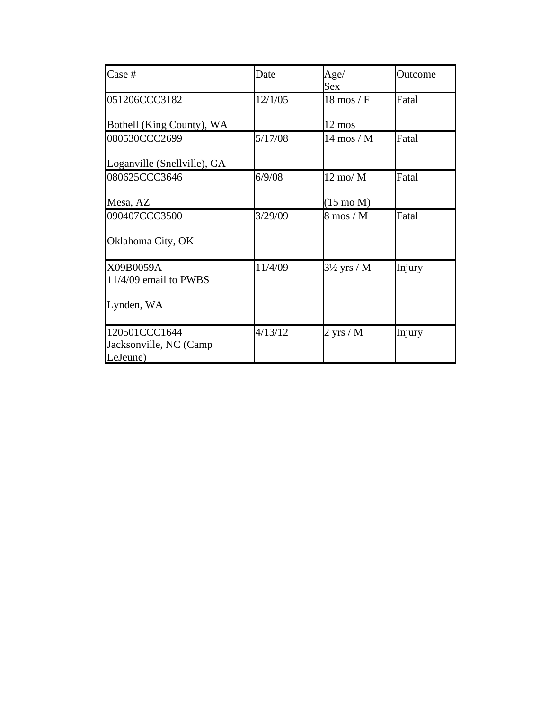| Case #                                              | Date    | Age/<br>Sex                | Outcome |
|-----------------------------------------------------|---------|----------------------------|---------|
| 051206CCC3182                                       | 12/1/05 | $18 \text{ mos} / F$       | Fatal   |
| Bothell (King County), WA                           |         | 12 mos                     |         |
| 080530CCC2699                                       | 5/17/08 | $14 \text{ mos} / M$       | Fatal   |
| Loganville (Snellville), GA                         |         |                            |         |
| 080625CCC3646                                       | 6/9/08  | $12 \text{ mo} / \text{M}$ | Fatal   |
| Mesa, AZ                                            |         | $(15 \text{ mo } M)$       |         |
| 090407CCC3500                                       | 3/29/09 | $8 \text{ mos} / M$        | Fatal   |
| Oklahoma City, OK                                   |         |                            |         |
| X09B0059A<br>11/4/09 email to PWBS                  | 11/4/09 | $3\frac{1}{2}$ yrs / M     | Injury  |
| Lynden, WA                                          |         |                            |         |
| 120501CCC1644<br>Jacksonville, NC (Camp<br>LeJeune) | 4/13/12 | $2 \text{ yrs} / M$        | Injury  |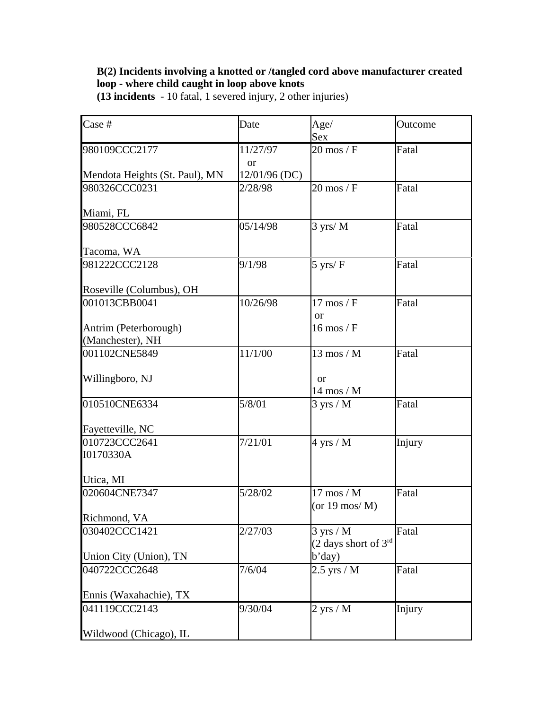# **B(2) Incidents involving a knotted or /tangled cord above manufacturer created loop - where child caught in loop above knots**

**(13 incidents** - 10 fatal, 1 severed injury, 2 other injuries)

| Case #                         | Date                       | Age/                              | Outcome |
|--------------------------------|----------------------------|-----------------------------------|---------|
|                                |                            | Sex                               |         |
| 980109CCC2177                  | 11/27/97                   | $20 \text{ mos} / F$              | Fatal   |
| Mendota Heights (St. Paul), MN | <b>or</b><br>12/01/96 (DC) |                                   |         |
| 980326CCC0231                  | 2/28/98                    | $20 \text{ mos} / F$              | Fatal   |
|                                |                            |                                   |         |
| Miami, FL                      |                            |                                   |         |
| 980528CCC6842                  | 05/14/98                   | $3 \text{ yrs} / M$               | Fatal   |
|                                |                            |                                   |         |
| Tacoma, WA                     |                            |                                   |         |
| 981222CCC2128                  | 9/1/98                     | $5$ yrs/ $F$                      | Fatal   |
|                                |                            |                                   |         |
| Roseville (Columbus), OH       |                            |                                   |         |
| 001013CBB0041                  | 10/26/98                   | $17 \text{ mos} / F$              | Fatal   |
|                                |                            | or                                |         |
| Antrim (Peterborough)          |                            | $16 \text{ mos} / F$              |         |
| (Manchester), NH               |                            |                                   |         |
| 001102CNE5849                  | 11/1/00                    | $13 \text{ mos} / M$              | Fatal   |
| Willingboro, NJ                |                            | <b>or</b>                         |         |
|                                |                            | $14 \text{ mos} / M$              |         |
| 010510CNE6334                  | 5/8/01                     | $3 \text{ yrs} / M$               | Fatal   |
|                                |                            |                                   |         |
| Fayetteville, NC               |                            |                                   |         |
| 010723CCC2641                  | 7/21/01                    | $4 \text{ yrs} / M$               | Injury  |
| I0170330A                      |                            |                                   |         |
|                                |                            |                                   |         |
| Utica, MI                      |                            |                                   |         |
| 020604CNE7347                  | 5/28/02                    | 17 mos / M                        | Fatal   |
|                                |                            | (or $19 \text{ mos} / \text{M}$ ) |         |
| Richmond, VA                   |                            |                                   |         |
| 030402CCC1421                  | 2/27/03                    | $3 \text{ yrs} / M$               | Fatal   |
| Union City (Union), TN         |                            | (2 days short of 3rd<br>b'day)    |         |
| 040722CCC2648                  | 7/6/04                     | $2.5$ yrs / M                     | Fatal   |
|                                |                            |                                   |         |
| Ennis (Waxahachie), TX         |                            |                                   |         |
| 041119CCC2143                  | 9/30/04                    | $2$ yrs / M                       | Injury  |
|                                |                            |                                   |         |
| Wildwood (Chicago), IL         |                            |                                   |         |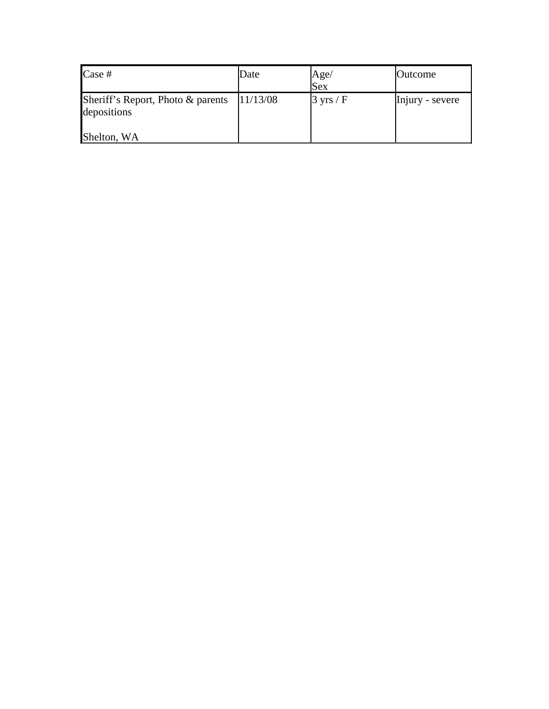| Case #                                           | Date     | Age/<br><b>Sex</b>         | Outcome         |
|--------------------------------------------------|----------|----------------------------|-----------------|
| Sheriff's Report, Photo & parents<br>depositions | 11/13/08 | $3 \text{ yrs} / \text{F}$ | Injury - severe |
| Shelton, WA                                      |          |                            |                 |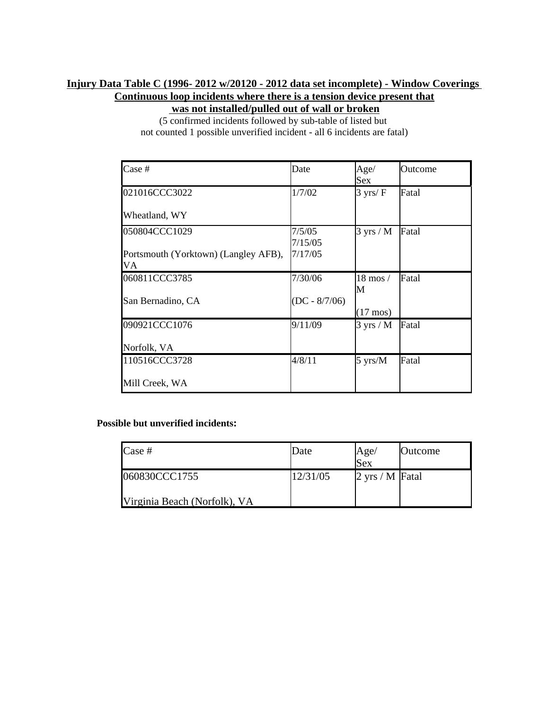# **Injury Data Table C (1996- 2012 w/20120 - 2012 data set incomplete) - Window Coverings Continuous loop incidents where there is a tension device present that**

 **was not installed/pulled out of wall or broken** (5 confirmed incidents followed by sub-table of listed but

not counted 1 possible unverified incident - all 6 incidents are fatal)

| Case #                                     | Date              | Age/<br>Sex                 | Outcome |
|--------------------------------------------|-------------------|-----------------------------|---------|
| 021016CCC3022                              | 1/7/02            | $3 \text{ yrs} / \text{ F}$ | Fatal   |
| Wheatland, WY                              |                   |                             |         |
| 050804CCC1029                              | 7/5/05<br>7/15/05 | $3 \text{ yrs} / M$         | Fatal   |
| Portsmouth (Yorktown) (Langley AFB),<br>VA | 7/17/05           |                             |         |
| 060811CCC3785                              | 7/30/06           | $18 \text{ mos} /$<br>М     | Fatal   |
| San Bernadino, CA                          | $(DC - 8/7/06)$   | $(17 \text{ mos})$          |         |
| 090921CCC1076                              | 9/11/09           | $3 \text{ yrs} / M$         | Fatal   |
| Norfolk, VA                                |                   |                             |         |
| 110516CCC3728                              | 4/8/11            | $5 \text{ yrs/M}$           | Fatal   |
| Mill Creek, WA                             |                   |                             |         |

**Possible but unverified incidents:**

| Case #                       | Date     | Age/<br>Sex               | <b>Outcome</b> |
|------------------------------|----------|---------------------------|----------------|
| 060830CCC1755                | 12/31/05 | $2 \text{ yrs} / M$ Fatal |                |
| Virginia Beach (Norfolk), VA |          |                           |                |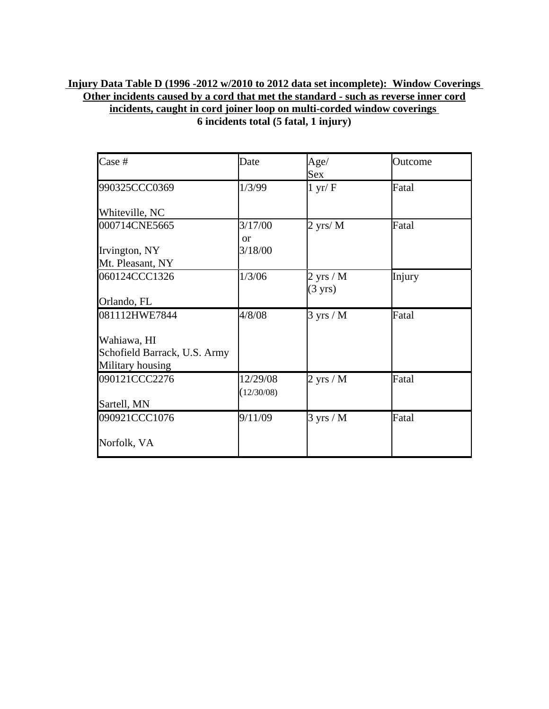# **Injury Data Table D (1996 -2012 w/2010 to 2012 data set incomplete): Window Coverings Other incidents caused by a cord that met the standard - such as reverse inner cord incidents, caught in cord joiner loop on multi-corded window coverings 6 incidents total (5 fatal, 1 injury)**

| Case #                       | Date                   | Age/<br>Sex                              | Outcome |  |
|------------------------------|------------------------|------------------------------------------|---------|--|
| 990325CCC0369                | 1/3/99                 | $1 \text{ yr}/\text{F}$                  | Fatal   |  |
| Whiteville, NC               |                        |                                          |         |  |
| 000714CNE5665                | 3/17/00<br>$\alpha$    | $2$ yrs/ M                               | Fatal   |  |
| Irvington, NY                | 3/18/00                |                                          |         |  |
| Mt. Pleasant, NY             |                        |                                          |         |  |
| 060124CCC1326                | 1/3/06                 | $2 \text{ yrs} / M$<br>$(3 \text{ yrs})$ | Injury  |  |
| Orlando, FL                  |                        |                                          |         |  |
| 081112HWE7844                | 4/8/08                 | $3 \text{ yrs} / M$                      | Fatal   |  |
| Wahiawa, HI                  |                        |                                          |         |  |
| Schofield Barrack, U.S. Army |                        |                                          |         |  |
| Military housing             |                        |                                          |         |  |
| 090121CCC2276                | 12/29/08<br>(12/30/08) | $2 \text{ yrs} / M$                      | Fatal   |  |
| Sartell, MN                  |                        |                                          |         |  |
| 090921CCC1076                | 9/11/09                | $3 \text{ yrs} / M$                      | Fatal   |  |
| Norfolk, VA                  |                        |                                          |         |  |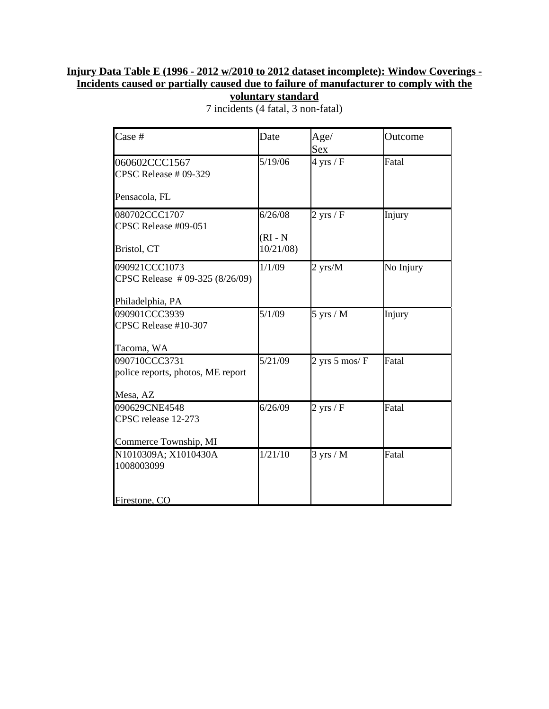# **Injury Data Table E (1996 - 2012 w/2010 to 2012 dataset incomplete): Window Coverings - Incidents caused or partially caused due to failure of manufacturer to comply with the voluntary standard**

| Case #                                             | Date                  | Age/<br><b>Sex</b>  | Outcome   |  |
|----------------------------------------------------|-----------------------|---------------------|-----------|--|
| 060602CCC1567<br>CPSC Release # 09-329             | 5/19/06               | $4 \text{ yrs} / F$ | Fatal     |  |
| Pensacola, FL                                      |                       |                     |           |  |
| 080702CCC1707<br>CPSC Release #09-051              | 6/26/08<br>$(RI - N)$ | $2$ yrs / $F$       | Injury    |  |
| Bristol, CT                                        | 10/21/08              |                     |           |  |
| 090921CCC1073<br>CPSC Release #09-325 (8/26/09)    | 1/1/09                | $2 \text{ yrs/M}$   | No Injury |  |
| Philadelphia, PA<br>090901CCC3939                  | 5/1/09                | $5$ yrs / M         | Injury    |  |
| CPSC Release #10-307                               |                       |                     |           |  |
| Tacoma, WA                                         |                       |                     |           |  |
| 090710CCC3731<br>police reports, photos, ME report | 5/21/09               | $2$ yrs 5 mos/ $F$  | Fatal     |  |
| Mesa, AZ                                           |                       |                     |           |  |
| 090629CNE4548<br>CPSC release 12-273               | 6/26/09               | $2$ yrs / $F$       | Fatal     |  |
| Commerce Township, MI                              |                       |                     |           |  |
| N1010309A; X1010430A<br>1008003099                 | 1/21/10               | $3$ yrs / M         | Fatal     |  |
| Firestone, CO                                      |                       |                     |           |  |

7 incidents (4 fatal, 3 non-fatal)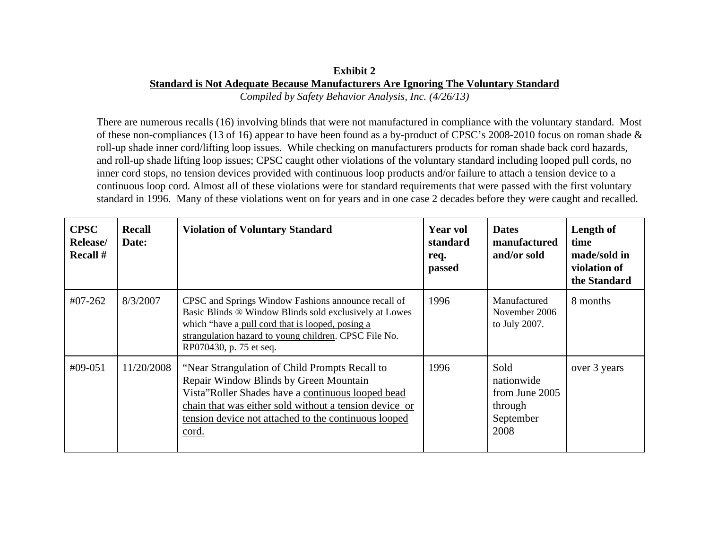# **Exhibit 2Standard is Not Adequate Because Manufacturers Are Ignoring The Voluntary Standard**

*Compiled by Safety Behavior Analysis, Inc. (4/26/13)*

There are numerous recalls (16) involving blinds that were not manufactured in compliance with the voluntary standard. Most of these non-compliances (13 of 16) appear to have been found as a by-product of CPSC's 2008-2010 focus on roman shade & roll-up shade inner cord/lifting loop issues. While checking on manufacturers products for roman shade back cord hazards, and roll-up shade lifting loop issues; CPSC caught other violations of the voluntary standard including looped pull cords, no inner cord stops, no tension devices provided with continuous loop products and/or failure to attach a tension device to a continuous loop cord. Almost all of these violations were for standard requirements that were passed with the first voluntary standard in 1996. Many of these violations went on for years and in one case 2 decades before they were caught and recalled.

| <b>CPSC</b><br>Release/<br><b>Recall</b> # | <b>Recall</b><br>Date: | <b>Violation of Voluntary Standard</b>                                                                                                                                                                                                                                          | <b>Year vol</b><br>standard<br>req.<br>passed | <b>Dates</b><br>manufactured<br>and/or sold                          | Length of<br>time<br>made/sold in<br>violation of<br>the Standard |
|--------------------------------------------|------------------------|---------------------------------------------------------------------------------------------------------------------------------------------------------------------------------------------------------------------------------------------------------------------------------|-----------------------------------------------|----------------------------------------------------------------------|-------------------------------------------------------------------|
| $#07 - 262$                                | 8/3/2007               | CPSC and Springs Window Fashions announce recall of<br>Basic Blinds ® Window Blinds sold exclusively at Lowes<br>which "have a pull cord that is looped, posing a<br>strangulation hazard to young children. CPSC File No.<br>RP070430, p. 75 et seq.                           | 1996                                          | Manufactured<br>November 2006<br>to July 2007.                       | 8 months                                                          |
| #09-051                                    | 11/20/2008             | "Near Strangulation of Child Prompts Recall to<br>Repair Window Blinds by Green Mountain<br>Vista"Roller Shades have a continuous looped bead<br>chain that was either sold without a tension device or<br>tension device not attached to the continuous looped<br><u>cord.</u> | 1996                                          | Sold<br>nationwide<br>from June 2005<br>through<br>September<br>2008 | over 3 years                                                      |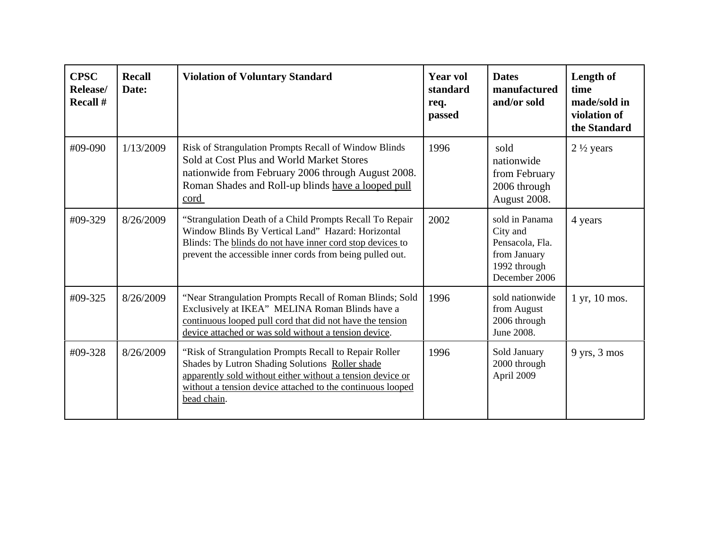| <b>CPSC</b><br>Release/<br><b>Recall #</b> | <b>Recall</b><br>Date: | <b>Violation of Voluntary Standard</b>                                                                                                                                                                                                               | <b>Year vol</b><br>standard<br>req.<br>passed | <b>Dates</b><br>manufactured<br>and/or sold                                                    | Length of<br>time<br>made/sold in<br>violation of<br>the Standard |
|--------------------------------------------|------------------------|------------------------------------------------------------------------------------------------------------------------------------------------------------------------------------------------------------------------------------------------------|-----------------------------------------------|------------------------------------------------------------------------------------------------|-------------------------------------------------------------------|
| #09-090                                    | 1/13/2009              | Risk of Strangulation Prompts Recall of Window Blinds<br>Sold at Cost Plus and World Market Stores<br>nationwide from February 2006 through August 2008.<br>Roman Shades and Roll-up blinds have a looped pull<br>cord                               | 1996                                          | sold<br>nationwide<br>from February<br>2006 through<br>August 2008.                            | $2\frac{1}{2}$ years                                              |
| #09-329                                    | 8/26/2009              | "Strangulation Death of a Child Prompts Recall To Repair<br>Window Blinds By Vertical Land" Hazard: Horizontal<br>Blinds: The blinds do not have inner cord stop devices to<br>prevent the accessible inner cords from being pulled out.             | 2002                                          | sold in Panama<br>City and<br>Pensacola, Fla.<br>from January<br>1992 through<br>December 2006 | 4 years                                                           |
| #09-325                                    | 8/26/2009              | "Near Strangulation Prompts Recall of Roman Blinds; Sold<br>Exclusively at IKEA" MELINA Roman Blinds have a<br>continuous looped pull cord that did not have the tension<br>device attached or was sold without a tension device.                    | 1996                                          | sold nationwide<br>from August<br>2006 through<br>June 2008.                                   | 1 yr, 10 mos.                                                     |
| #09-328                                    | 8/26/2009              | "Risk of Strangulation Prompts Recall to Repair Roller<br>Shades by Lutron Shading Solutions Roller shade<br>apparently sold without either without a tension device or<br>without a tension device attached to the continuous looped<br>bead chain. | 1996                                          | Sold January<br>2000 through<br>April 2009                                                     | $9 \text{ yrs}, 3 \text{ mos}$                                    |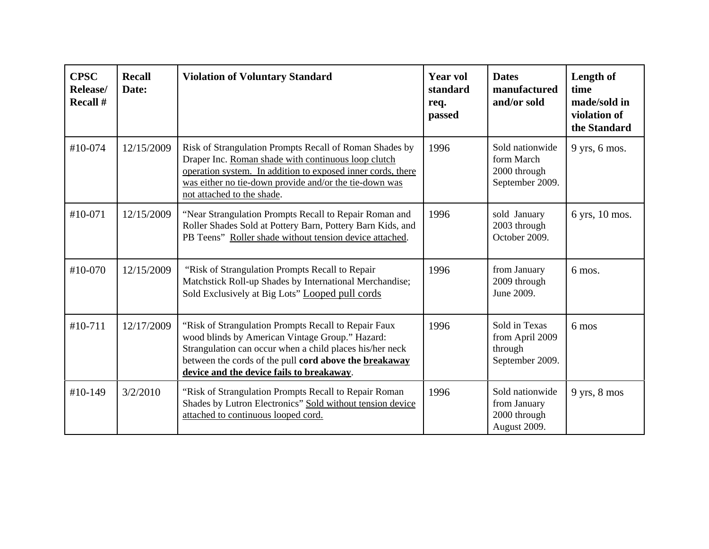| <b>CPSC</b><br>Release/<br><b>Recall #</b> | <b>Recall</b><br>Date: | <b>Violation of Voluntary Standard</b>                                                                                                                                                                                                                                     | <b>Year vol</b><br>standard<br>req.<br>passed | <b>Dates</b><br>manufactured<br>and/or sold                      | Length of<br>time<br>made/sold in<br>violation of<br>the Standard |
|--------------------------------------------|------------------------|----------------------------------------------------------------------------------------------------------------------------------------------------------------------------------------------------------------------------------------------------------------------------|-----------------------------------------------|------------------------------------------------------------------|-------------------------------------------------------------------|
| #10-074                                    | 12/15/2009             | Risk of Strangulation Prompts Recall of Roman Shades by<br>Draper Inc. Roman shade with continuous loop clutch<br>operation system. In addition to exposed inner cords, there<br>was either no tie-down provide and/or the tie-down was<br>not attached to the shade.      | 1996                                          | Sold nationwide<br>form March<br>2000 through<br>September 2009. | 9 yrs, 6 mos.                                                     |
| #10-071                                    | 12/15/2009             | "Near Strangulation Prompts Recall to Repair Roman and<br>Roller Shades Sold at Pottery Barn, Pottery Barn Kids, and<br>PB Teens" Roller shade without tension device attached.                                                                                            | 1996                                          | sold January<br>2003 through<br>October 2009.                    | 6 yrs, 10 mos.                                                    |
| #10-070                                    | 12/15/2009             | "Risk of Strangulation Prompts Recall to Repair<br>Matchstick Roll-up Shades by International Merchandise;<br>Sold Exclusively at Big Lots" Looped pull cords                                                                                                              | 1996                                          | from January<br>2009 through<br>June 2009.                       | 6 mos.                                                            |
| #10-711                                    | 12/17/2009             | "Risk of Strangulation Prompts Recall to Repair Faux<br>wood blinds by American Vintage Group." Hazard:<br>Strangulation can occur when a child places his/her neck<br>between the cords of the pull cord above the breakaway<br>device and the device fails to breakaway. | 1996                                          | Sold in Texas<br>from April 2009<br>through<br>September 2009.   | 6 mos                                                             |
| #10-149                                    | 3/2/2010               | "Risk of Strangulation Prompts Recall to Repair Roman<br>Shades by Lutron Electronics" Sold without tension device<br>attached to continuous looped cord.                                                                                                                  | 1996                                          | Sold nationwide<br>from January<br>2000 through<br>August 2009.  | $9$ yrs, $8$ mos                                                  |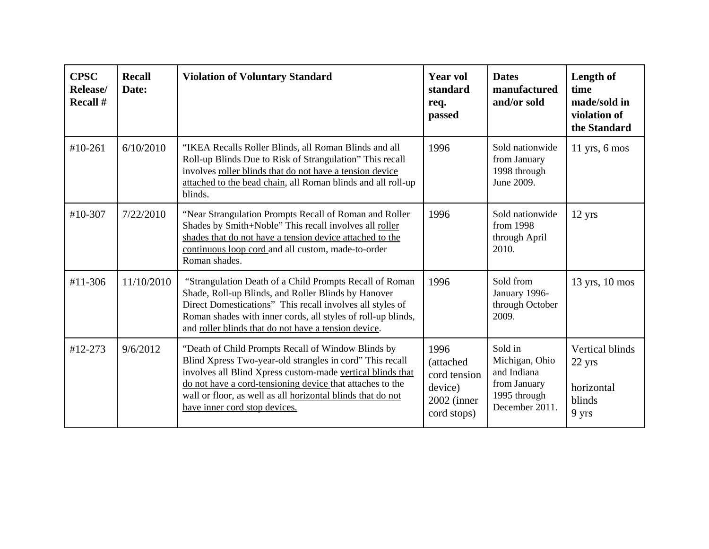| <b>CPSC</b><br>Release/<br><b>Recall #</b> | <b>Recall</b><br>Date: | <b>Violation of Voluntary Standard</b>                                                                                                                                                                                                                                                                                                           | <b>Year vol</b><br>standard<br>req.<br>passed                                 | <b>Dates</b><br>manufactured<br>and/or sold                                                | Length of<br>time<br>made/sold in<br>violation of<br>the Standard |
|--------------------------------------------|------------------------|--------------------------------------------------------------------------------------------------------------------------------------------------------------------------------------------------------------------------------------------------------------------------------------------------------------------------------------------------|-------------------------------------------------------------------------------|--------------------------------------------------------------------------------------------|-------------------------------------------------------------------|
| #10-261                                    | 6/10/2010              | "IKEA Recalls Roller Blinds, all Roman Blinds and all<br>Roll-up Blinds Due to Risk of Strangulation" This recall<br>involves roller blinds that do not have a tension device<br>attached to the bead chain, all Roman blinds and all roll-up<br>blinds.                                                                                         | 1996                                                                          | Sold nationwide<br>from January<br>1998 through<br>June 2009.                              | 11 yrs, $6 \text{ mos}$                                           |
| #10-307                                    | 7/22/2010              | "Near Strangulation Prompts Recall of Roman and Roller<br>Shades by Smith+Noble" This recall involves all roller<br>shades that do not have a tension device attached to the<br>continuous loop cord and all custom, made-to-order<br>Roman shades.                                                                                              | 1996                                                                          | Sold nationwide<br>from 1998<br>through April<br>2010.                                     | $12$ yrs                                                          |
| #11-306                                    | 11/10/2010             | "Strangulation Death of a Child Prompts Recall of Roman<br>Shade, Roll-up Blinds, and Roller Blinds by Hanover<br>Direct Domestications" This recall involves all styles of<br>Roman shades with inner cords, all styles of roll-up blinds,<br>and roller blinds that do not have a tension device.                                              | 1996                                                                          | Sold from<br>January 1996-<br>through October<br>2009.                                     | 13 yrs, 10 mos                                                    |
| $#12 - 273$                                | 9/6/2012               | "Death of Child Prompts Recall of Window Blinds by<br>Blind Xpress Two-year-old strangles in cord" This recall<br>involves all Blind Xpress custom-made vertical blinds that<br>do not have a cord-tensioning device that attaches to the<br>wall or floor, as well as all <b>horizontal</b> blinds that do not<br>have inner cord stop devices. | 1996<br>(attached)<br>cord tension<br>device)<br>$2002$ (inner<br>cord stops) | Sold in<br>Michigan, Ohio<br>and Indiana<br>from January<br>1995 through<br>December 2011. | <b>Vertical blinds</b><br>22 yrs<br>horizontal<br>blinds<br>9 yrs |